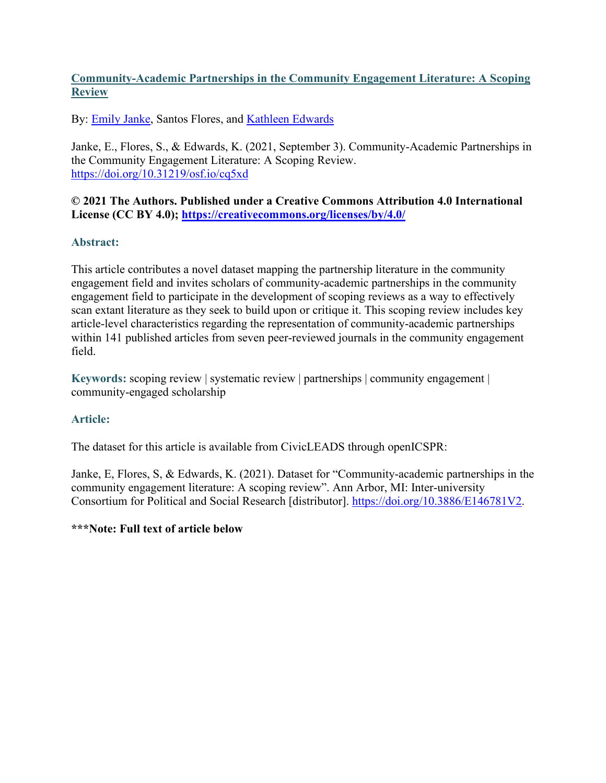# **Community-Academic Partnerships in the Community Engagement Literature: A Scoping Review**

By: **Emily Janke**, Santos Flores, and **Kathleen Edwards** 

Janke, E., Flores, S., & Edwards, K. (2021, September 3). Community-Academic Partnerships in the Community Engagement Literature: A Scoping Review. <https://doi.org/10.31219/osf.io/cq5xd>

**© 2021 The Authors. Published under a Creative Commons Attribution 4.0 International License (CC BY 4.0); <https://creativecommons.org/licenses/by/4.0/>**

# **Abstract:**

This article contributes a novel dataset mapping the partnership literature in the community engagement field and invites scholars of community-academic partnerships in the community engagement field to participate in the development of scoping reviews as a way to effectively scan extant literature as they seek to build upon or critique it. This scoping review includes key article-level characteristics regarding the representation of community-academic partnerships within 141 published articles from seven peer-reviewed journals in the community engagement field.

**Keywords:** scoping review | systematic review | partnerships | community engagement | community-engaged scholarship

# **Article:**

The dataset for this article is available from CivicLEADS through openICSPR:

Janke, E, Flores, S, & Edwards, K. (2021). Dataset for "Community-academic partnerships in the community engagement literature: A scoping review". Ann Arbor, MI: Inter-university Consortium for Political and Social Research [distributor]. [https://doi.org/10.3886/E146781V2.](https://doi.org/10.3886/E146781V2)

# **\*\*\*Note: Full text of article below**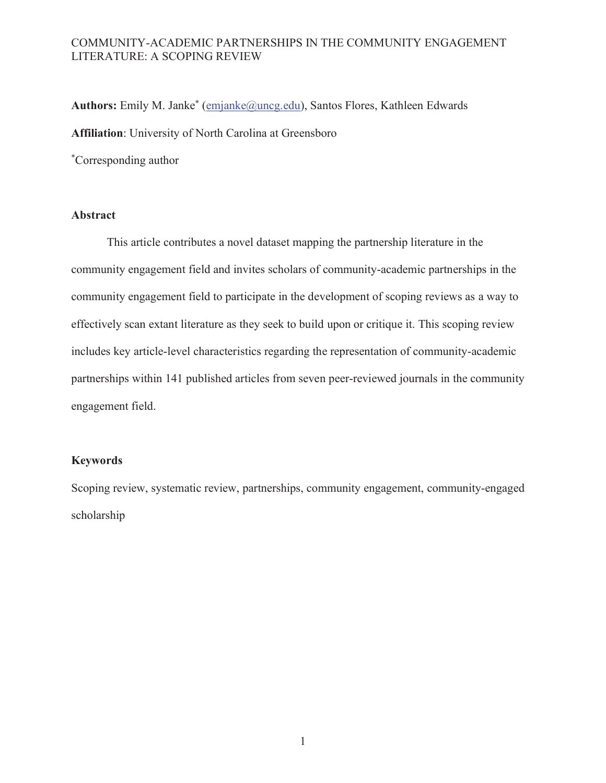Authors: Emily M. Janke<sup>\*</sup> (emjanke@uncg.edu), Santos Flores, Kathleen Edwards **Affiliation**: University of North Carolina at Greensboro \*Corresponding author

# **Abstract**

This article contributes a novel dataset mapping the partnership literature in the community engagement field and invites scholars of community-academic partnerships in the community engagement field to participate in the development of scoping reviews as a way to effectively scan extant literature as they seek to build upon or critique it. This scoping review includes key article-level characteristics regarding the representation of community-academic partnerships within 141 published articles from seven peer-reviewed journals in the community engagement field.

### **Keywords**

Scoping review, systematic review, partnerships, community engagement, community-engaged scholarship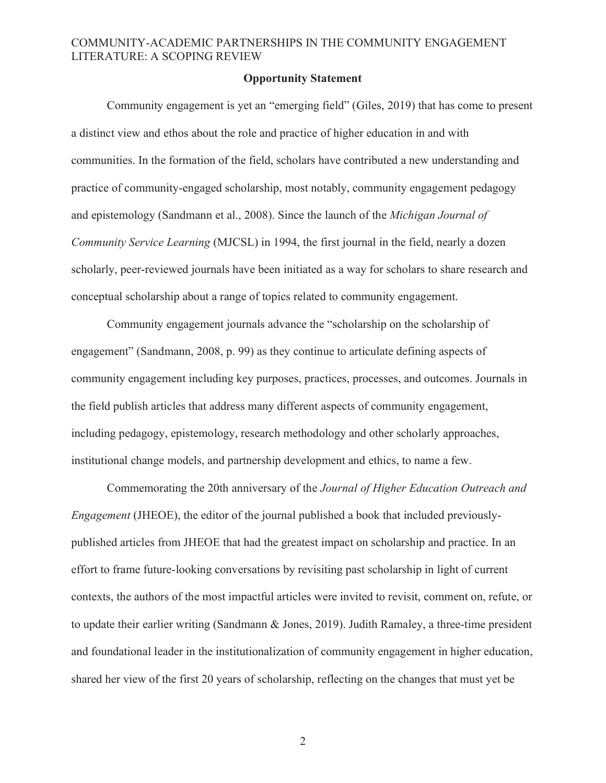### **Opportunity Statement**

Community engagement is yet an "emerging field" (Giles, 2019) that has come to present a distinct view and ethos about the role and practice of higher education in and with communities. In the formation of the field, scholars have contributed a new understanding and practice of community-engaged scholarship, most notably, community engagement pedagogy and epistemology (Sandmann et al., 2008). Since the launch of the *Michigan Journal of Community Service Learning* (MJCSL) in 1994, the first journal in the field, nearly a dozen scholarly, peer-reviewed journals have been initiated as a way for scholars to share research and conceptual scholarship about a range of topics related to community engagement.

Community engagement journals advance the "scholarship on the scholarship of engagement" (Sandmann, 2008, p. 99) as they continue to articulate defining aspects of community engagement including key purposes, practices, processes, and outcomes. Journals in the field publish articles that address many different aspects of community engagement, including pedagogy, epistemology, research methodology and other scholarly approaches, institutional change models, and partnership development and ethics, to name a few.

Commemorating the 20th anniversary of the *Journal of Higher Education Outreach and Engagement* (JHEOE), the editor of the journal published a book that included previouslypublished articles from JHEOE that had the greatest impact on scholarship and practice. In an effort to frame future-looking conversations by revisiting past scholarship in light of current contexts, the authors of the most impactful articles were invited to revisit, comment on, refute, or to update their earlier writing (Sandmann & Jones, 2019). Judith Ramaley, a three-time president and foundational leader in the institutionalization of community engagement in higher education, shared her view of the first 20 years of scholarship, reflecting on the changes that must yet be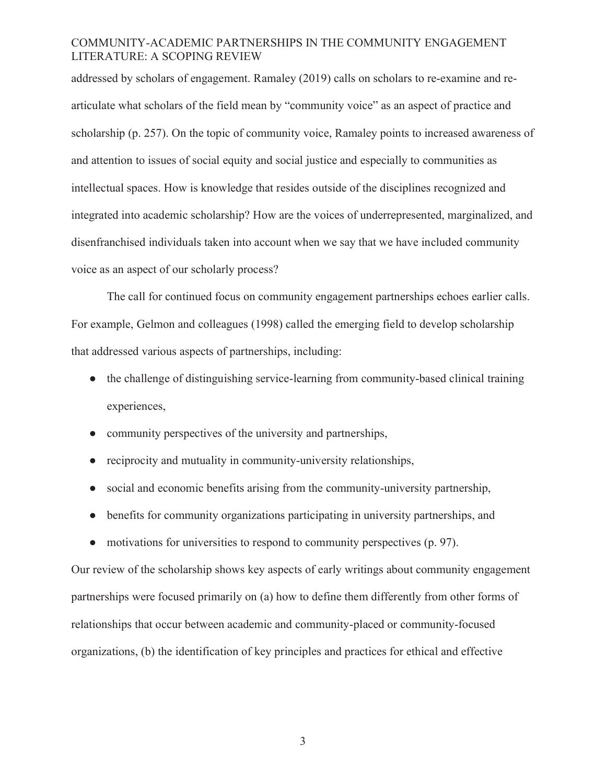addressed by scholars of engagement. Ramaley (2019) calls on scholars to re-examine and rearticulate what scholars of the field mean by "community voice" as an aspect of practice and scholarship (p. 257). On the topic of community voice, Ramaley points to increased awareness of and attention to issues of social equity and social justice and especially to communities as intellectual spaces. How is knowledge that resides outside of the disciplines recognized and integrated into academic scholarship? How are the voices of underrepresented, marginalized, and disenfranchised individuals taken into account when we say that we have included community voice as an aspect of our scholarly process?

The call for continued focus on community engagement partnerships echoes earlier calls. For example, Gelmon and colleagues (1998) called the emerging field to develop scholarship that addressed various aspects of partnerships, including:

- the challenge of distinguishing service-learning from community-based clinical training experiences,
- community perspectives of the university and partnerships,
- reciprocity and mutuality in community-university relationships,
- social and economic benefits arising from the community-university partnership,
- benefits for community organizations participating in university partnerships, and
- motivations for universities to respond to community perspectives (p. 97).

Our review of the scholarship shows key aspects of early writings about community engagement partnerships were focused primarily on (a) how to define them differently from other forms of relationships that occur between academic and community-placed or community-focused organizations, (b) the identification of key principles and practices for ethical and effective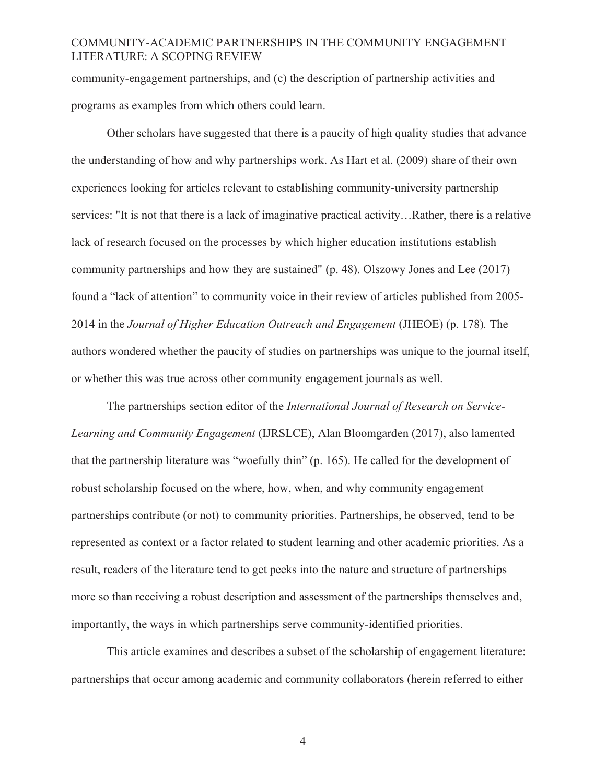community-engagement partnerships, and (c) the description of partnership activities and programs as examples from which others could learn.

Other scholars have suggested that there is a paucity of high quality studies that advance the understanding of how and why partnerships work. As Hart et al. (2009) share of their own experiences looking for articles relevant to establishing community-university partnership services: "It is not that there is a lack of imaginative practical activity…Rather, there is a relative lack of research focused on the processes by which higher education institutions establish community partnerships and how they are sustained" (p. 48). Olszowy Jones and Lee (2017) found a "lack of attention" to community voice in their review of articles published from 2005- 2014 in the *Journal of Higher Education Outreach and Engagement* (JHEOE) (p. 178)*.* The authors wondered whether the paucity of studies on partnerships was unique to the journal itself, or whether this was true across other community engagement journals as well.

The partnerships section editor of the *International Journal of Research on Service-Learning and Community Engagement* (IJRSLCE), Alan Bloomgarden (2017), also lamented that the partnership literature was "woefully thin" (p. 165). He called for the development of robust scholarship focused on the where, how, when, and why community engagement partnerships contribute (or not) to community priorities. Partnerships, he observed, tend to be represented as context or a factor related to student learning and other academic priorities. As a result, readers of the literature tend to get peeks into the nature and structure of partnerships more so than receiving a robust description and assessment of the partnerships themselves and, importantly, the ways in which partnerships serve community-identified priorities.

This article examines and describes a subset of the scholarship of engagement literature: partnerships that occur among academic and community collaborators (herein referred to either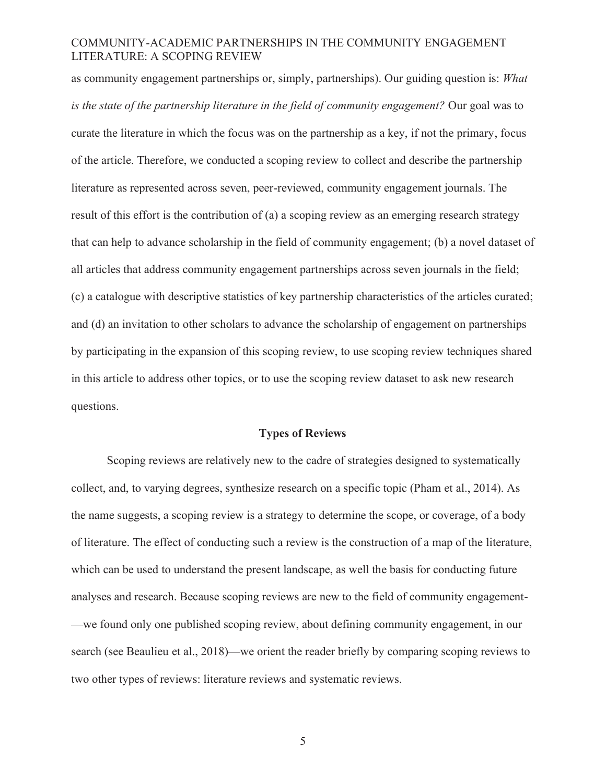as community engagement partnerships or, simply, partnerships). Our guiding question is: *What is the state of the partnership literature in the field of community engagement?* Our goal was to curate the literature in which the focus was on the partnership as a key, if not the primary, focus of the article. Therefore, we conducted a scoping review to collect and describe the partnership literature as represented across seven, peer-reviewed, community engagement journals. The result of this effort is the contribution of (a) a scoping review as an emerging research strategy that can help to advance scholarship in the field of community engagement; (b) a novel dataset of all articles that address community engagement partnerships across seven journals in the field; (c) a catalogue with descriptive statistics of key partnership characteristics of the articles curated; and (d) an invitation to other scholars to advance the scholarship of engagement on partnerships by participating in the expansion of this scoping review, to use scoping review techniques shared in this article to address other topics, or to use the scoping review dataset to ask new research questions.

#### **Types of Reviews**

Scoping reviews are relatively new to the cadre of strategies designed to systematically collect, and, to varying degrees, synthesize research on a specific topic (Pham et al., 2014). As the name suggests, a scoping review is a strategy to determine the scope, or coverage, of a body of literature. The effect of conducting such a review is the construction of a map of the literature, which can be used to understand the present landscape, as well the basis for conducting future analyses and research. Because scoping reviews are new to the field of community engagement- —we found only one published scoping review, about defining community engagement, in our search (see Beaulieu et al., 2018)—we orient the reader briefly by comparing scoping reviews to two other types of reviews: literature reviews and systematic reviews.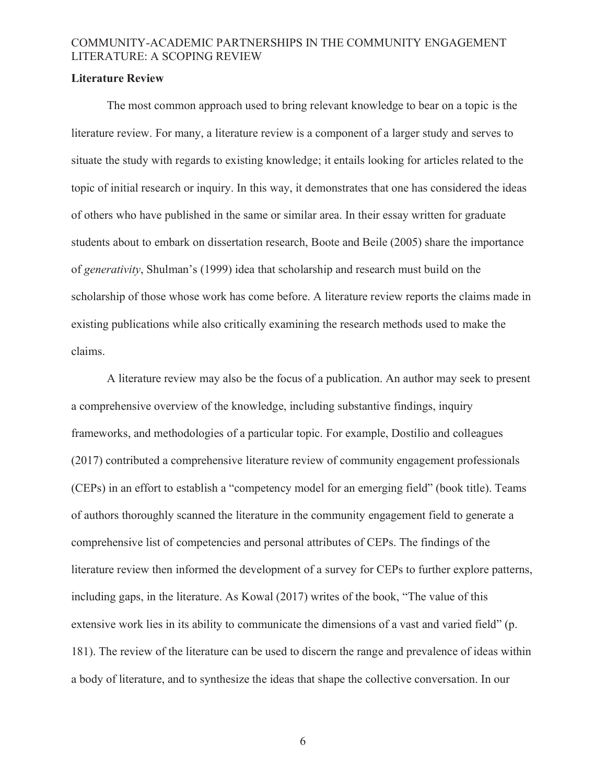### **Literature Review**

The most common approach used to bring relevant knowledge to bear on a topic is the literature review. For many, a literature review is a component of a larger study and serves to situate the study with regards to existing knowledge; it entails looking for articles related to the topic of initial research or inquiry. In this way, it demonstrates that one has considered the ideas of others who have published in the same or similar area. In their essay written for graduate students about to embark on dissertation research, Boote and Beile (2005) share the importance of *generativity*, Shulman's (1999) idea that scholarship and research must build on the scholarship of those whose work has come before. A literature review reports the claims made in existing publications while also critically examining the research methods used to make the claims.

 A literature review may also be the focus of a publication. An author may seek to present a comprehensive overview of the knowledge, including substantive findings, inquiry frameworks, and methodologies of a particular topic. For example, Dostilio and colleagues (2017) contributed a comprehensive literature review of community engagement professionals (CEPs) in an effort to establish a "competency model for an emerging field" (book title). Teams of authors thoroughly scanned the literature in the community engagement field to generate a comprehensive list of competencies and personal attributes of CEPs. The findings of the literature review then informed the development of a survey for CEPs to further explore patterns, including gaps, in the literature. As Kowal (2017) writes of the book, "The value of this extensive work lies in its ability to communicate the dimensions of a vast and varied field" (p. 181). The review of the literature can be used to discern the range and prevalence of ideas within a body of literature, and to synthesize the ideas that shape the collective conversation. In our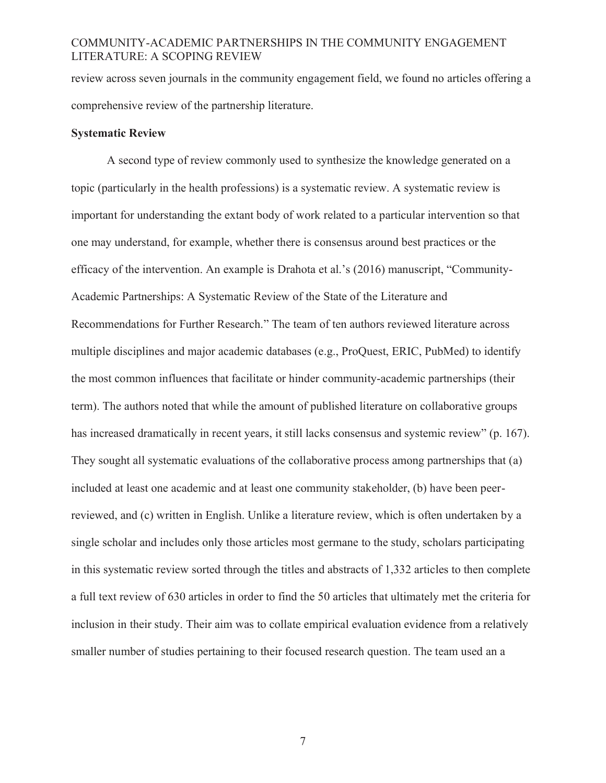review across seven journals in the community engagement field, we found no articles offering a comprehensive review of the partnership literature.

### **Systematic Review**

A second type of review commonly used to synthesize the knowledge generated on a topic (particularly in the health professions) is a systematic review. A systematic review is important for understanding the extant body of work related to a particular intervention so that one may understand, for example, whether there is consensus around best practices or the efficacy of the intervention. An example is Drahota et al.'s (2016) manuscript, "Community-Academic Partnerships: A Systematic Review of the State of the Literature and Recommendations for Further Research." The team of ten authors reviewed literature across multiple disciplines and major academic databases (e.g., ProQuest, ERIC, PubMed) to identify the most common influences that facilitate or hinder community-academic partnerships (their term). The authors noted that while the amount of published literature on collaborative groups has increased dramatically in recent years, it still lacks consensus and systemic review" (p. 167). They sought all systematic evaluations of the collaborative process among partnerships that (a) included at least one academic and at least one community stakeholder, (b) have been peerreviewed, and (c) written in English. Unlike a literature review, which is often undertaken by a single scholar and includes only those articles most germane to the study, scholars participating in this systematic review sorted through the titles and abstracts of 1,332 articles to then complete a full text review of 630 articles in order to find the 50 articles that ultimately met the criteria for inclusion in their study. Their aim was to collate empirical evaluation evidence from a relatively smaller number of studies pertaining to their focused research question. The team used an a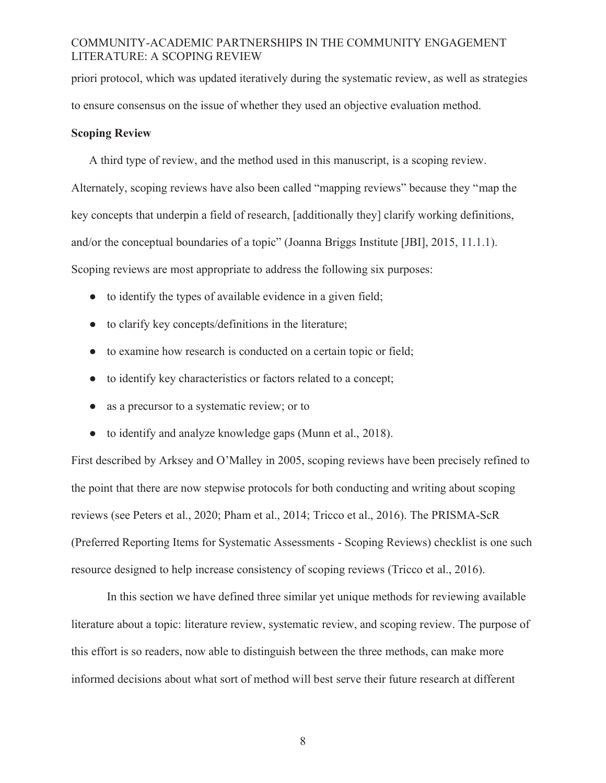priori protocol, which was updated iteratively during the systematic review, as well as strategies to ensure consensus on the issue of whether they used an objective evaluation method.

### **Scoping Review**

A third type of review, and the method used in this manuscript, is a scoping review. Alternately, scoping reviews have also been called "mapping reviews" because they "map the key concepts that underpin a field of research, [additionally they] clarify working definitions, and/or the conceptual boundaries of a topic" (Joanna Briggs Institute [JBI], 2015, 11.1.1). Scoping reviews are most appropriate to address the following six purposes:

- to identify the types of available evidence in a given field;
- to clarify key concepts/definitions in the literature;
- to examine how research is conducted on a certain topic or field;
- to identify key characteristics or factors related to a concept;
- as a precursor to a systematic review; or to
- to identify and analyze knowledge gaps (Munn et al., 2018).

First described by Arksey and O'Malley in 2005, scoping reviews have been precisely refined to the point that there are now stepwise protocols for both conducting and writing about scoping reviews (see Peters et al., 2020; Pham et al., 2014; Tricco et al., 2016). The PRISMA-ScR (Preferred Reporting Items for Systematic Assessments - Scoping Reviews) checklist is one such resource designed to help increase consistency of scoping reviews (Tricco et al., 2016).

In this section we have defined three similar yet unique methods for reviewing available literature about a topic: literature review, systematic review, and scoping review. The purpose of this effort is so readers, now able to distinguish between the three methods, can make more informed decisions about what sort of method will best serve their future research at different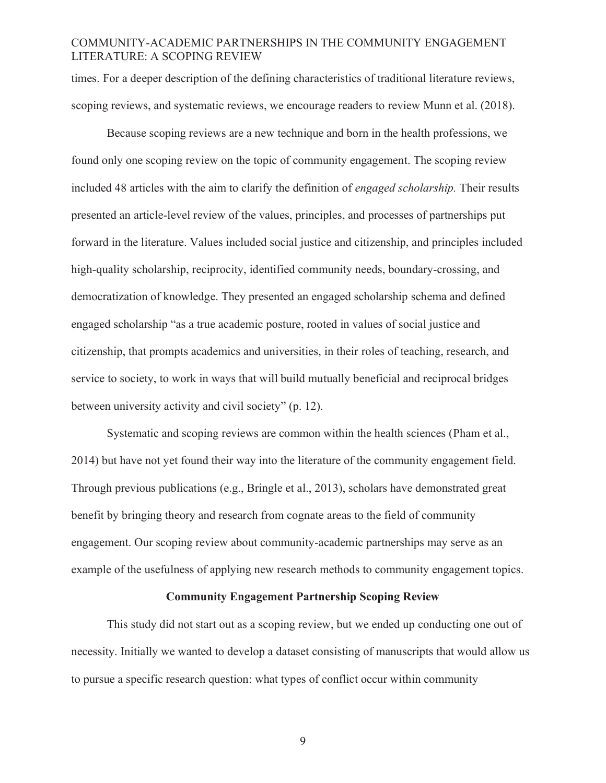times. For a deeper description of the defining characteristics of traditional literature reviews, scoping reviews, and systematic reviews, we encourage readers to review Munn et al. (2018).

 Because scoping reviews are a new technique and born in the health professions, we found only one scoping review on the topic of community engagement. The scoping review included 48 articles with the aim to clarify the definition of *engaged scholarship.* Their results presented an article-level review of the values, principles, and processes of partnerships put forward in the literature. Values included social justice and citizenship, and principles included high-quality scholarship, reciprocity, identified community needs, boundary-crossing, and democratization of knowledge. They presented an engaged scholarship schema and defined engaged scholarship "as a true academic posture, rooted in values of social justice and citizenship, that prompts academics and universities, in their roles of teaching, research, and service to society, to work in ways that will build mutually beneficial and reciprocal bridges between university activity and civil society" (p. 12).

 Systematic and scoping reviews are common within the health sciences (Pham et al., 2014) but have not yet found their way into the literature of the community engagement field. Through previous publications (e.g., Bringle et al., 2013), scholars have demonstrated great benefit by bringing theory and research from cognate areas to the field of community engagement. Our scoping review about community-academic partnerships may serve as an example of the usefulness of applying new research methods to community engagement topics.

#### **Community Engagement Partnership Scoping Review**

This study did not start out as a scoping review, but we ended up conducting one out of necessity. Initially we wanted to develop a dataset consisting of manuscripts that would allow us to pursue a specific research question: what types of conflict occur within community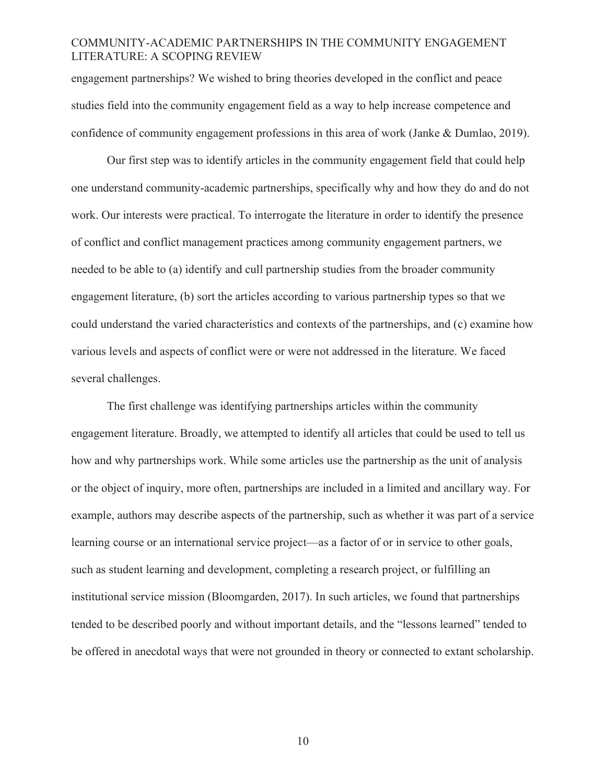engagement partnerships? We wished to bring theories developed in the conflict and peace studies field into the community engagement field as a way to help increase competence and confidence of community engagement professions in this area of work (Janke & Dumlao, 2019).

Our first step was to identify articles in the community engagement field that could help one understand community-academic partnerships, specifically why and how they do and do not work. Our interests were practical. To interrogate the literature in order to identify the presence of conflict and conflict management practices among community engagement partners, we needed to be able to (a) identify and cull partnership studies from the broader community engagement literature, (b) sort the articles according to various partnership types so that we could understand the varied characteristics and contexts of the partnerships, and (c) examine how various levels and aspects of conflict were or were not addressed in the literature. We faced several challenges.

The first challenge was identifying partnerships articles within the community engagement literature. Broadly, we attempted to identify all articles that could be used to tell us how and why partnerships work. While some articles use the partnership as the unit of analysis or the object of inquiry, more often, partnerships are included in a limited and ancillary way. For example, authors may describe aspects of the partnership, such as whether it was part of a service learning course or an international service project—as a factor of or in service to other goals, such as student learning and development, completing a research project, or fulfilling an institutional service mission (Bloomgarden, 2017). In such articles, we found that partnerships tended to be described poorly and without important details, and the "lessons learned" tended to be offered in anecdotal ways that were not grounded in theory or connected to extant scholarship.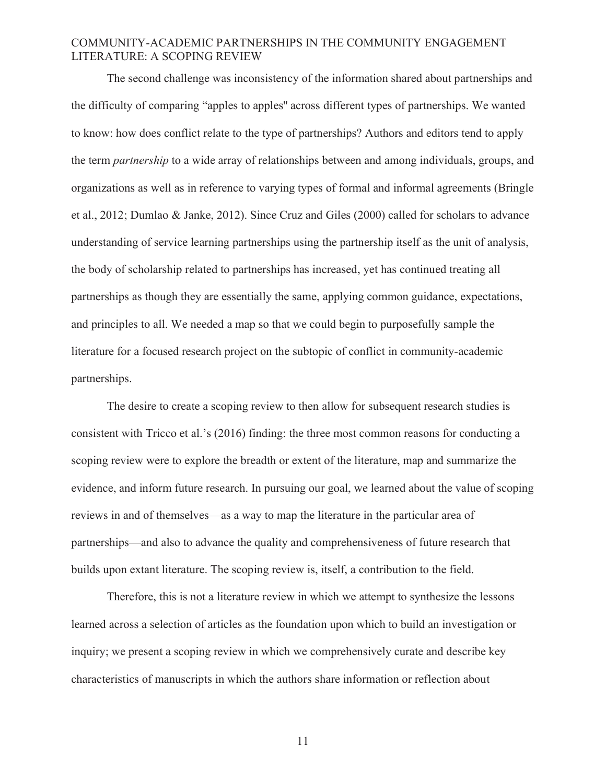The second challenge was inconsistency of the information shared about partnerships and the difficulty of comparing "apples to apples'' across different types of partnerships. We wanted to know: how does conflict relate to the type of partnerships? Authors and editors tend to apply the term *partnership* to a wide array of relationships between and among individuals, groups, and organizations as well as in reference to varying types of formal and informal agreements (Bringle et al., 2012; Dumlao & Janke, 2012). Since Cruz and Giles (2000) called for scholars to advance understanding of service learning partnerships using the partnership itself as the unit of analysis, the body of scholarship related to partnerships has increased, yet has continued treating all partnerships as though they are essentially the same, applying common guidance, expectations, and principles to all. We needed a map so that we could begin to purposefully sample the literature for a focused research project on the subtopic of conflict in community-academic partnerships.

The desire to create a scoping review to then allow for subsequent research studies is consistent with Tricco et al.'s (2016) finding: the three most common reasons for conducting a scoping review were to explore the breadth or extent of the literature, map and summarize the evidence, and inform future research. In pursuing our goal, we learned about the value of scoping reviews in and of themselves—as a way to map the literature in the particular area of partnerships—and also to advance the quality and comprehensiveness of future research that builds upon extant literature. The scoping review is, itself, a contribution to the field.

Therefore, this is not a literature review in which we attempt to synthesize the lessons learned across a selection of articles as the foundation upon which to build an investigation or inquiry; we present a scoping review in which we comprehensively curate and describe key characteristics of manuscripts in which the authors share information or reflection about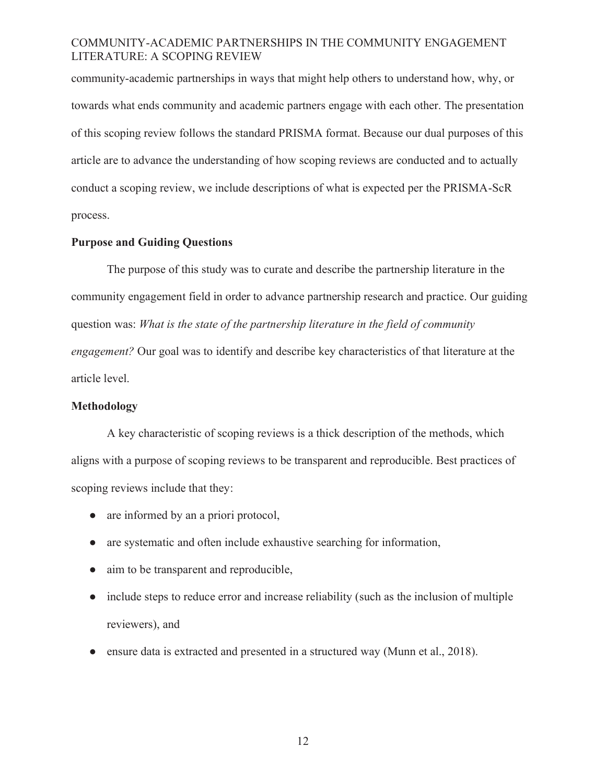community-academic partnerships in ways that might help others to understand how, why, or towards what ends community and academic partners engage with each other. The presentation of this scoping review follows the standard PRISMA format. Because our dual purposes of this article are to advance the understanding of how scoping reviews are conducted and to actually conduct a scoping review, we include descriptions of what is expected per the PRISMA-ScR process.

### **Purpose and Guiding Questions**

The purpose of this study was to curate and describe the partnership literature in the community engagement field in order to advance partnership research and practice. Our guiding question was: *What is the state of the partnership literature in the field of community engagement?* Our goal was to identify and describe key characteristics of that literature at the article level.

### **Methodology**

A key characteristic of scoping reviews is a thick description of the methods, which aligns with a purpose of scoping reviews to be transparent and reproducible. Best practices of scoping reviews include that they:

- are informed by an a priori protocol,
- are systematic and often include exhaustive searching for information,
- aim to be transparent and reproducible,
- include steps to reduce error and increase reliability (such as the inclusion of multiple reviewers), and
- ensure data is extracted and presented in a structured way (Munn et al., 2018).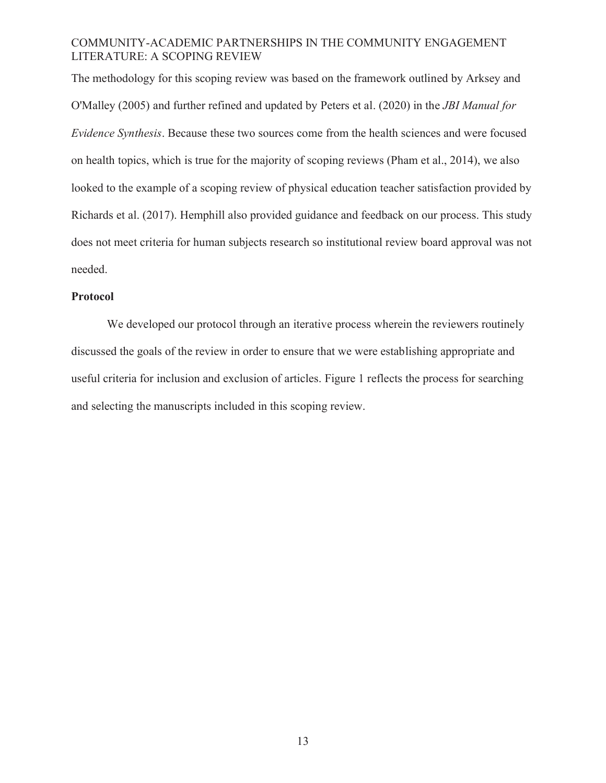The methodology for this scoping review was based on the framework outlined by Arksey and O'Malley (2005) and further refined and updated by Peters et al. (2020) in the *JBI Manual for Evidence Synthesis*. Because these two sources come from the health sciences and were focused on health topics, which is true for the majority of scoping reviews (Pham et al., 2014), we also looked to the example of a scoping review of physical education teacher satisfaction provided by Richards et al. (2017). Hemphill also provided guidance and feedback on our process. This study does not meet criteria for human subjects research so institutional review board approval was not needed.

## **Protocol**

We developed our protocol through an iterative process wherein the reviewers routinely discussed the goals of the review in order to ensure that we were establishing appropriate and useful criteria for inclusion and exclusion of articles. Figure 1 reflects the process for searching and selecting the manuscripts included in this scoping review.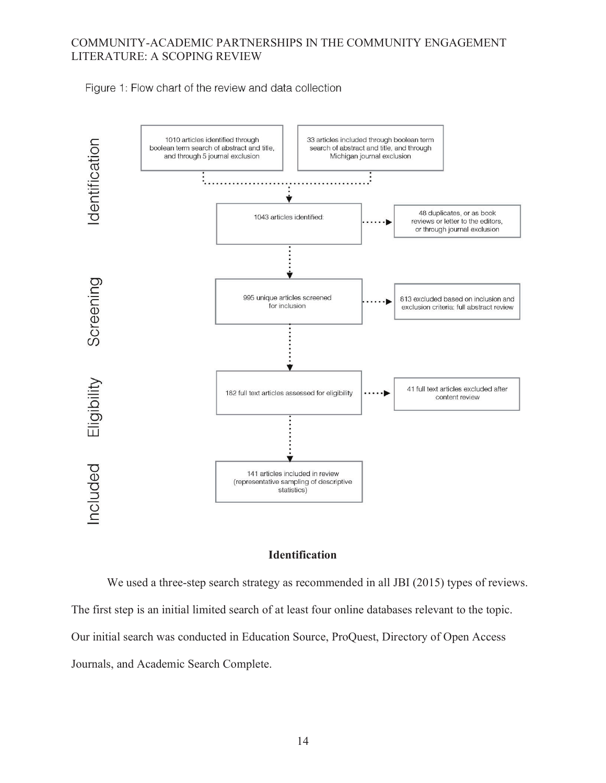Figure 1: Flow chart of the review and data collection



### **Identification**

We used a three-step search strategy as recommended in all JBI (2015) types of reviews. The first step is an initial limited search of at least four online databases relevant to the topic. Our initial search was conducted in Education Source, ProQuest, Directory of Open Access Journals, and Academic Search Complete.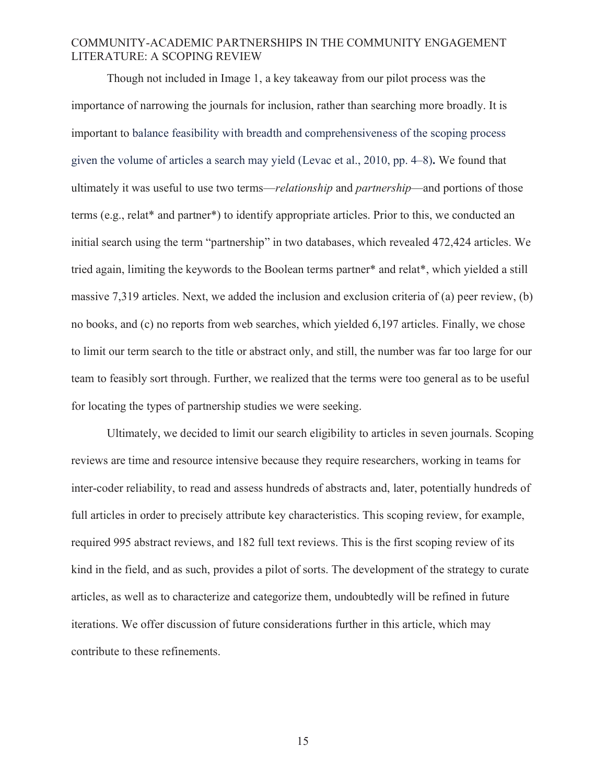Though not included in Image 1, a key takeaway from our pilot process was the importance of narrowing the journals for inclusion, rather than searching more broadly. It is important to balance feasibility with breadth and comprehensiveness of the scoping process given the volume of articles a search may yield (Levac et al., 2010, pp. 4–8)**.** We found that ultimately it was useful to use two terms—*relationship* and *partnership*—and portions of those terms (e.g., relat\* and partner\*) to identify appropriate articles. Prior to this, we conducted an initial search using the term "partnership" in two databases, which revealed 472,424 articles. We tried again, limiting the keywords to the Boolean terms partner\* and relat\*, which yielded a still massive 7,319 articles. Next, we added the inclusion and exclusion criteria of (a) peer review, (b) no books, and (c) no reports from web searches, which yielded 6,197 articles. Finally, we chose to limit our term search to the title or abstract only, and still, the number was far too large for our team to feasibly sort through. Further, we realized that the terms were too general as to be useful for locating the types of partnership studies we were seeking.

Ultimately, we decided to limit our search eligibility to articles in seven journals. Scoping reviews are time and resource intensive because they require researchers, working in teams for inter-coder reliability, to read and assess hundreds of abstracts and, later, potentially hundreds of full articles in order to precisely attribute key characteristics. This scoping review, for example, required 995 abstract reviews, and 182 full text reviews. This is the first scoping review of its kind in the field, and as such, provides a pilot of sorts. The development of the strategy to curate articles, as well as to characterize and categorize them, undoubtedly will be refined in future iterations. We offer discussion of future considerations further in this article, which may contribute to these refinements.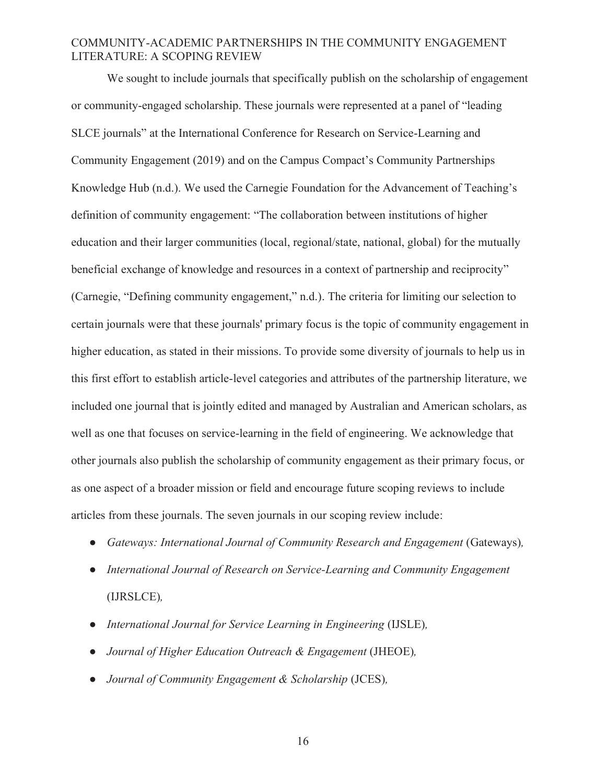We sought to include journals that specifically publish on the scholarship of engagement or community-engaged scholarship. These journals were represented at a panel of "leading SLCE journals" at the International Conference for Research on Service-Learning and Community Engagement (2019) and on the Campus Compact's Community Partnerships Knowledge Hub (n.d.). We used the Carnegie Foundation for the Advancement of Teaching's definition of community engagement: "The collaboration between institutions of higher education and their larger communities (local, regional/state, national, global) for the mutually beneficial exchange of knowledge and resources in a context of partnership and reciprocity" (Carnegie, "Defining community engagement," n.d.). The criteria for limiting our selection to certain journals were that these journals' primary focus is the topic of community engagement in higher education, as stated in their missions. To provide some diversity of journals to help us in this first effort to establish article-level categories and attributes of the partnership literature, we included one journal that is jointly edited and managed by Australian and American scholars, as well as one that focuses on service-learning in the field of engineering. We acknowledge that other journals also publish the scholarship of community engagement as their primary focus, or as one aspect of a broader mission or field and encourage future scoping reviews to include articles from these journals. The seven journals in our scoping review include:

- *Gateways: International Journal of Community Research and Engagement (Gateways),*
- *International Journal of Research on Service-Learning and Community Engagement*  (IJRSLCE)*,*
- *International Journal for Service Learning in Engineering* (IJSLE)*,*
- *Journal of Higher Education Outreach & Engagement* (JHEOE)*,*
- *Journal of Community Engagement & Scholarship* (JCES)*,*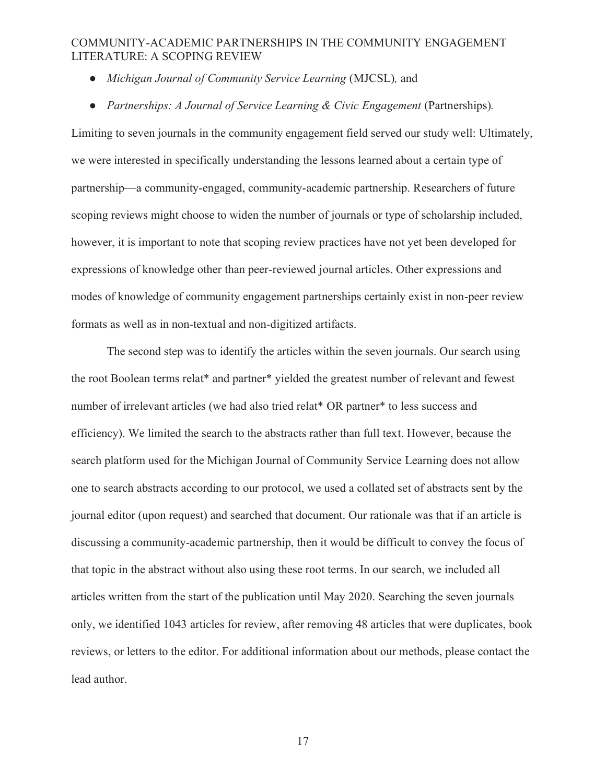- *Michigan Journal of Community Service Learning (MJCSL), and*
- *Partnerships: A Journal of Service Learning & Civic Engagement (Partnerships).*

Limiting to seven journals in the community engagement field served our study well: Ultimately, we were interested in specifically understanding the lessons learned about a certain type of partnership—a community-engaged, community-academic partnership. Researchers of future scoping reviews might choose to widen the number of journals or type of scholarship included, however, it is important to note that scoping review practices have not yet been developed for expressions of knowledge other than peer-reviewed journal articles. Other expressions and modes of knowledge of community engagement partnerships certainly exist in non-peer review formats as well as in non-textual and non-digitized artifacts.

The second step was to identify the articles within the seven journals. Our search using the root Boolean terms relat\* and partner\* yielded the greatest number of relevant and fewest number of irrelevant articles (we had also tried relat\* OR partner\* to less success and efficiency). We limited the search to the abstracts rather than full text. However, because the search platform used for the Michigan Journal of Community Service Learning does not allow one to search abstracts according to our protocol, we used a collated set of abstracts sent by the journal editor (upon request) and searched that document. Our rationale was that if an article is discussing a community-academic partnership, then it would be difficult to convey the focus of that topic in the abstract without also using these root terms. In our search, we included all articles written from the start of the publication until May 2020. Searching the seven journals only, we identified 1043 articles for review, after removing 48 articles that were duplicates, book reviews, or letters to the editor. For additional information about our methods, please contact the lead author.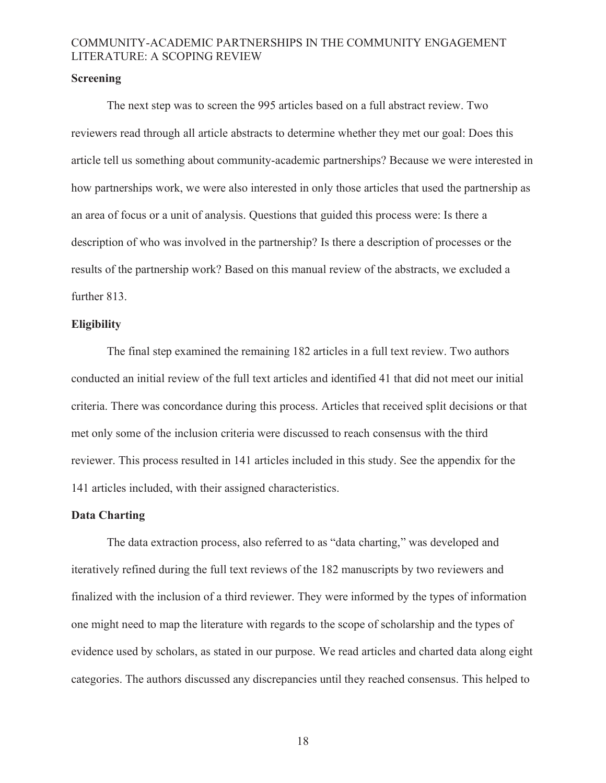#### **Screening**

The next step was to screen the 995 articles based on a full abstract review. Two reviewers read through all article abstracts to determine whether they met our goal: Does this article tell us something about community-academic partnerships? Because we were interested in how partnerships work, we were also interested in only those articles that used the partnership as an area of focus or a unit of analysis. Questions that guided this process were: Is there a description of who was involved in the partnership? Is there a description of processes or the results of the partnership work? Based on this manual review of the abstracts, we excluded a further 813.

### **Eligibility**

The final step examined the remaining 182 articles in a full text review. Two authors conducted an initial review of the full text articles and identified 41 that did not meet our initial criteria. There was concordance during this process. Articles that received split decisions or that met only some of the inclusion criteria were discussed to reach consensus with the third reviewer. This process resulted in 141 articles included in this study. See the appendix for the 141 articles included, with their assigned characteristics.

### **Data Charting**

The data extraction process, also referred to as "data charting," was developed and iteratively refined during the full text reviews of the 182 manuscripts by two reviewers and finalized with the inclusion of a third reviewer. They were informed by the types of information one might need to map the literature with regards to the scope of scholarship and the types of evidence used by scholars, as stated in our purpose. We read articles and charted data along eight categories. The authors discussed any discrepancies until they reached consensus. This helped to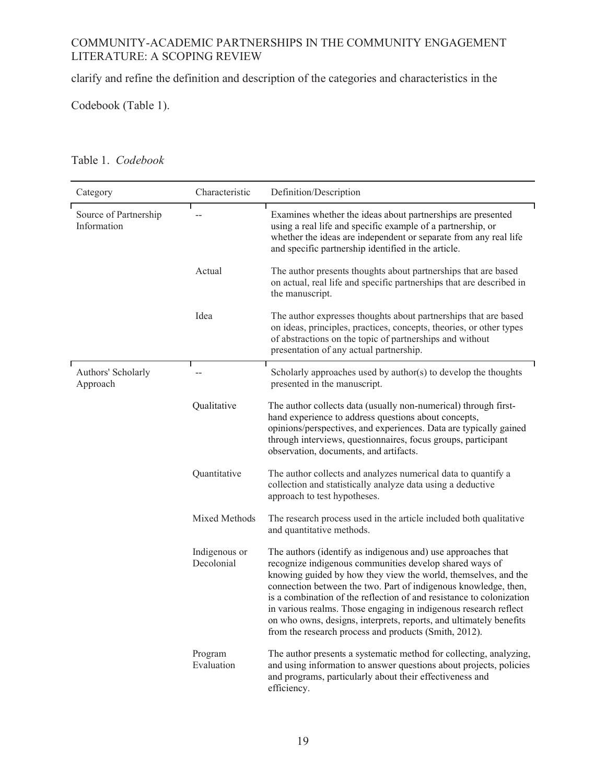clarify and refine the definition and description of the categories and characteristics in the

Codebook (Table 1).

| Category                             | Characteristic              | Definition/Description                                                                                                                                                                                                                                                                                                                                                                                                                                                                                                                  |  |  |  |  |  |  |  |  |  |  |
|--------------------------------------|-----------------------------|-----------------------------------------------------------------------------------------------------------------------------------------------------------------------------------------------------------------------------------------------------------------------------------------------------------------------------------------------------------------------------------------------------------------------------------------------------------------------------------------------------------------------------------------|--|--|--|--|--|--|--|--|--|--|
| Source of Partnership<br>Information |                             | Examines whether the ideas about partnerships are presented<br>using a real life and specific example of a partnership, or<br>whether the ideas are independent or separate from any real life<br>and specific partnership identified in the article.                                                                                                                                                                                                                                                                                   |  |  |  |  |  |  |  |  |  |  |
|                                      | Actual                      | The author presents thoughts about partnerships that are based<br>on actual, real life and specific partnerships that are described in<br>the manuscript.                                                                                                                                                                                                                                                                                                                                                                               |  |  |  |  |  |  |  |  |  |  |
|                                      | Idea                        | The author expresses thoughts about partnerships that are based<br>on ideas, principles, practices, concepts, theories, or other types<br>of abstractions on the topic of partnerships and without<br>presentation of any actual partnership.                                                                                                                                                                                                                                                                                           |  |  |  |  |  |  |  |  |  |  |
| Authors' Scholarly<br>Approach       |                             | Scholarly approaches used by author(s) to develop the thoughts<br>presented in the manuscript.                                                                                                                                                                                                                                                                                                                                                                                                                                          |  |  |  |  |  |  |  |  |  |  |
|                                      | Qualitative                 | The author collects data (usually non-numerical) through first-<br>hand experience to address questions about concepts,<br>opinions/perspectives, and experiences. Data are typically gained<br>through interviews, questionnaires, focus groups, participant<br>observation, documents, and artifacts.                                                                                                                                                                                                                                 |  |  |  |  |  |  |  |  |  |  |
|                                      | Quantitative                | The author collects and analyzes numerical data to quantify a<br>collection and statistically analyze data using a deductive<br>approach to test hypotheses.                                                                                                                                                                                                                                                                                                                                                                            |  |  |  |  |  |  |  |  |  |  |
|                                      | Mixed Methods               | The research process used in the article included both qualitative<br>and quantitative methods.                                                                                                                                                                                                                                                                                                                                                                                                                                         |  |  |  |  |  |  |  |  |  |  |
|                                      | Indigenous or<br>Decolonial | The authors (identify as indigenous and) use approaches that<br>recognize indigenous communities develop shared ways of<br>knowing guided by how they view the world, themselves, and the<br>connection between the two. Part of indigenous knowledge, then,<br>is a combination of the reflection of and resistance to colonization<br>in various realms. Those engaging in indigenous research reflect<br>on who owns, designs, interprets, reports, and ultimately benefits<br>from the research process and products (Smith, 2012). |  |  |  |  |  |  |  |  |  |  |
|                                      | Program<br>Evaluation       | The author presents a systematic method for collecting, analyzing,<br>and using information to answer questions about projects, policies<br>and programs, particularly about their effectiveness and<br>efficiency.                                                                                                                                                                                                                                                                                                                     |  |  |  |  |  |  |  |  |  |  |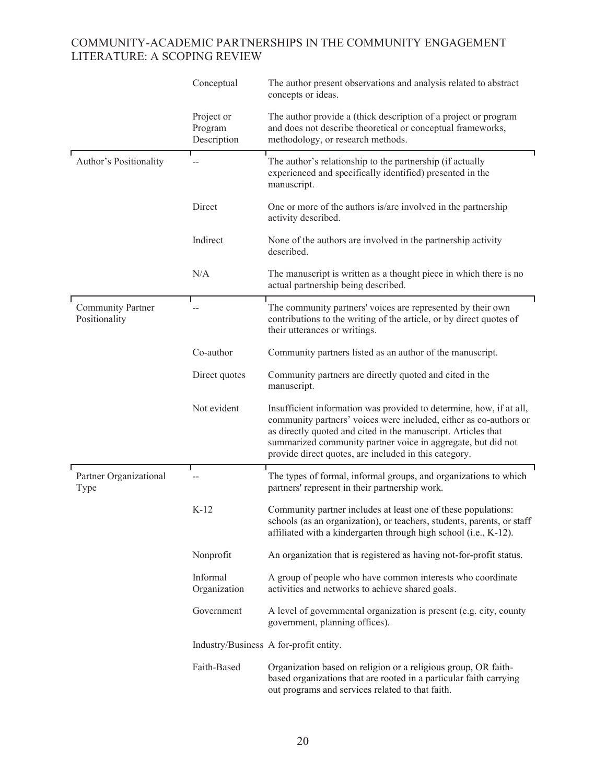|                                           | Conceptual                           | The author present observations and analysis related to abstract<br>concepts or ideas.                                                                                                                                                                                                                                             |
|-------------------------------------------|--------------------------------------|------------------------------------------------------------------------------------------------------------------------------------------------------------------------------------------------------------------------------------------------------------------------------------------------------------------------------------|
|                                           | Project or<br>Program<br>Description | The author provide a (thick description of a project or program<br>and does not describe theoretical or conceptual frameworks,<br>methodology, or research methods.                                                                                                                                                                |
| Author's Positionality                    |                                      | The author's relationship to the partnership (if actually<br>experienced and specifically identified) presented in the<br>manuscript.                                                                                                                                                                                              |
|                                           | Direct                               | One or more of the authors is/are involved in the partnership<br>activity described.                                                                                                                                                                                                                                               |
|                                           | Indirect                             | None of the authors are involved in the partnership activity<br>described.                                                                                                                                                                                                                                                         |
|                                           | N/A                                  | The manuscript is written as a thought piece in which there is no<br>actual partnership being described.                                                                                                                                                                                                                           |
| <b>Community Partner</b><br>Positionality |                                      | The community partners' voices are represented by their own<br>contributions to the writing of the article, or by direct quotes of<br>their utterances or writings.                                                                                                                                                                |
|                                           | Co-author                            | Community partners listed as an author of the manuscript.                                                                                                                                                                                                                                                                          |
|                                           | Direct quotes                        | Community partners are directly quoted and cited in the<br>manuscript.                                                                                                                                                                                                                                                             |
|                                           | Not evident                          | Insufficient information was provided to determine, how, if at all,<br>community partners' voices were included, either as co-authors or<br>as directly quoted and cited in the manuscript. Articles that<br>summarized community partner voice in aggregate, but did not<br>provide direct quotes, are included in this category. |
| Partner Organizational<br>Type            | --                                   | The types of formal, informal groups, and organizations to which<br>partners' represent in their partnership work.                                                                                                                                                                                                                 |
|                                           | $K-12$                               | Community partner includes at least one of these populations:<br>schools (as an organization), or teachers, students, parents, or staff<br>affiliated with a kindergarten through high school (i.e., K-12).                                                                                                                        |
|                                           | Nonprofit                            | An organization that is registered as having not-for-profit status.                                                                                                                                                                                                                                                                |
|                                           | Informal<br>Organization             | A group of people who have common interests who coordinate<br>activities and networks to achieve shared goals.                                                                                                                                                                                                                     |
|                                           | Government                           | A level of governmental organization is present (e.g. city, county<br>government, planning offices).                                                                                                                                                                                                                               |
|                                           |                                      | Industry/Business A for-profit entity.                                                                                                                                                                                                                                                                                             |
|                                           | Faith-Based                          | Organization based on religion or a religious group, OR faith-<br>based organizations that are rooted in a particular faith carrying<br>out programs and services related to that faith.                                                                                                                                           |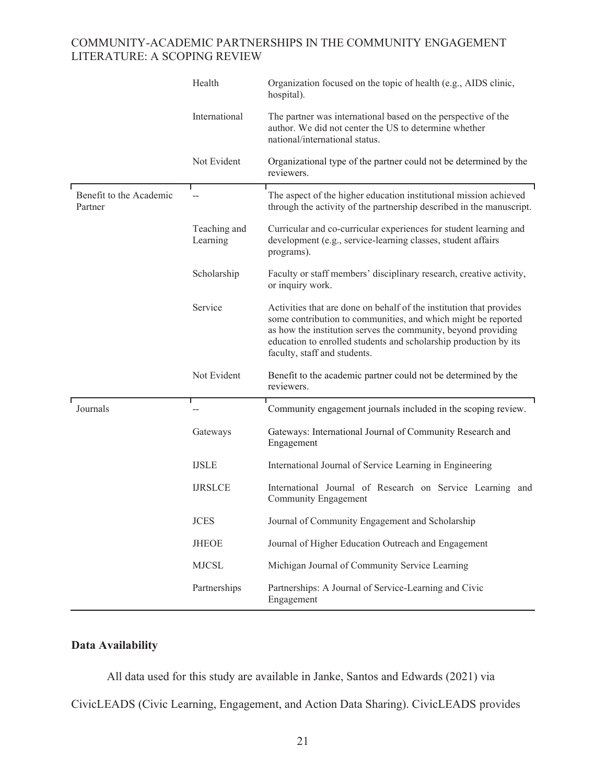|                                    | Health                   | Organization focused on the topic of health (e.g., AIDS clinic,<br>hospital).                                                                                                                                                                                                                             |
|------------------------------------|--------------------------|-----------------------------------------------------------------------------------------------------------------------------------------------------------------------------------------------------------------------------------------------------------------------------------------------------------|
|                                    | International            | The partner was international based on the perspective of the<br>author. We did not center the US to determine whether<br>national/international status.                                                                                                                                                  |
|                                    | Not Evident              | Organizational type of the partner could not be determined by the<br>reviewers.                                                                                                                                                                                                                           |
| Benefit to the Academic<br>Partner |                          | The aspect of the higher education institutional mission achieved<br>through the activity of the partnership described in the manuscript.                                                                                                                                                                 |
|                                    | Teaching and<br>Learning | Curricular and co-curricular experiences for student learning and<br>development (e.g., service-learning classes, student affairs<br>programs).                                                                                                                                                           |
|                                    | Scholarship              | Faculty or staff members' disciplinary research, creative activity,<br>or inquiry work.                                                                                                                                                                                                                   |
|                                    | Service                  | Activities that are done on behalf of the institution that provides<br>some contribution to communities, and which might be reported<br>as how the institution serves the community, beyond providing<br>education to enrolled students and scholarship production by its<br>faculty, staff and students. |
|                                    | Not Evident              | Benefit to the academic partner could not be determined by the<br>reviewers.                                                                                                                                                                                                                              |
| Journals                           |                          | Community engagement journals included in the scoping review.                                                                                                                                                                                                                                             |
|                                    | Gateways                 | Gateways: International Journal of Community Research and<br>Engagement                                                                                                                                                                                                                                   |
|                                    | <b>IJSLE</b>             | International Journal of Service Learning in Engineering                                                                                                                                                                                                                                                  |
|                                    | <b>IJRSLCE</b>           | International Journal of Research on Service Learning and<br>Community Engagement                                                                                                                                                                                                                         |
|                                    | <b>JCES</b>              | Journal of Community Engagement and Scholarship                                                                                                                                                                                                                                                           |
|                                    | <b>JHEOE</b>             | Journal of Higher Education Outreach and Engagement                                                                                                                                                                                                                                                       |
|                                    | <b>MJCSL</b>             | Michigan Journal of Community Service Learning                                                                                                                                                                                                                                                            |
|                                    | Partnerships             | Partnerships: A Journal of Service-Learning and Civic<br>Engagement                                                                                                                                                                                                                                       |

# **Data Availability**

 All data used for this study are available in Janke, Santos and Edwards (2021) via CivicLEADS (Civic Learning, Engagement, and Action Data Sharing). CivicLEADS provides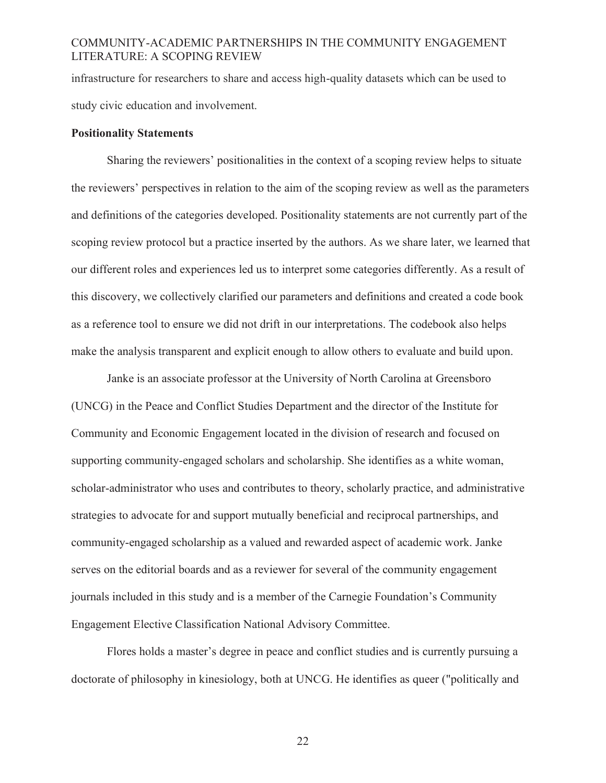infrastructure for researchers to share and access high-quality datasets which can be used to study civic education and involvement.

#### **Positionality Statements**

Sharing the reviewers' positionalities in the context of a scoping review helps to situate the reviewers' perspectives in relation to the aim of the scoping review as well as the parameters and definitions of the categories developed. Positionality statements are not currently part of the scoping review protocol but a practice inserted by the authors. As we share later, we learned that our different roles and experiences led us to interpret some categories differently. As a result of this discovery, we collectively clarified our parameters and definitions and created a code book as a reference tool to ensure we did not drift in our interpretations. The codebook also helps make the analysis transparent and explicit enough to allow others to evaluate and build upon.

Janke is an associate professor at the University of North Carolina at Greensboro (UNCG) in the Peace and Conflict Studies Department and the director of the Institute for Community and Economic Engagement located in the division of research and focused on supporting community-engaged scholars and scholarship. She identifies as a white woman, scholar-administrator who uses and contributes to theory, scholarly practice, and administrative strategies to advocate for and support mutually beneficial and reciprocal partnerships, and community-engaged scholarship as a valued and rewarded aspect of academic work. Janke serves on the editorial boards and as a reviewer for several of the community engagement journals included in this study and is a member of the Carnegie Foundation's Community Engagement Elective Classification National Advisory Committee.

Flores holds a master's degree in peace and conflict studies and is currently pursuing a doctorate of philosophy in kinesiology, both at UNCG. He identifies as queer ("politically and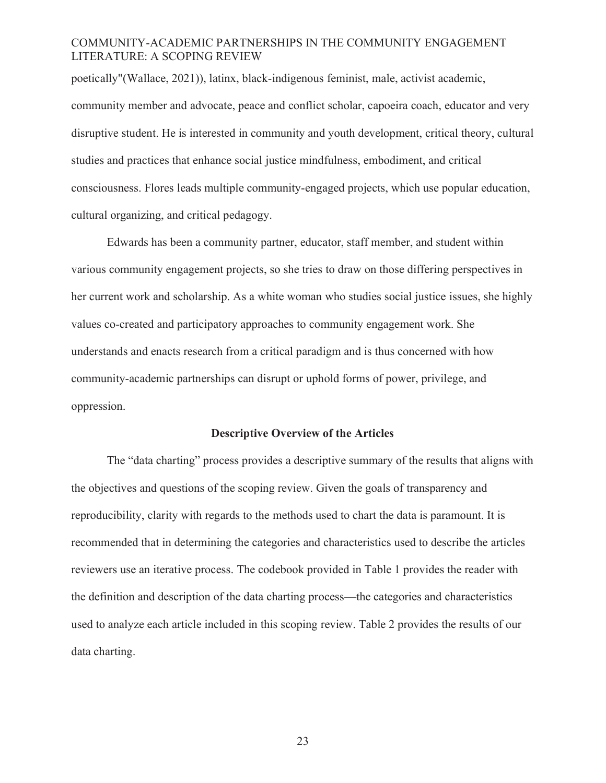poetically"(Wallace, 2021)), latinx, black-indigenous feminist, male, activist academic, community member and advocate, peace and conflict scholar, capoeira coach, educator and very disruptive student. He is interested in community and youth development, critical theory, cultural studies and practices that enhance social justice mindfulness, embodiment, and critical consciousness. Flores leads multiple community-engaged projects, which use popular education, cultural organizing, and critical pedagogy.

Edwards has been a community partner, educator, staff member, and student within various community engagement projects, so she tries to draw on those differing perspectives in her current work and scholarship. As a white woman who studies social justice issues, she highly values co-created and participatory approaches to community engagement work. She understands and enacts research from a critical paradigm and is thus concerned with how community-academic partnerships can disrupt or uphold forms of power, privilege, and oppression.

# **Descriptive Overview of the Articles**

The "data charting" process provides a descriptive summary of the results that aligns with the objectives and questions of the scoping review. Given the goals of transparency and reproducibility, clarity with regards to the methods used to chart the data is paramount. It is recommended that in determining the categories and characteristics used to describe the articles reviewers use an iterative process. The codebook provided in Table 1 provides the reader with the definition and description of the data charting process—the categories and characteristics used to analyze each article included in this scoping review. Table 2 provides the results of our data charting.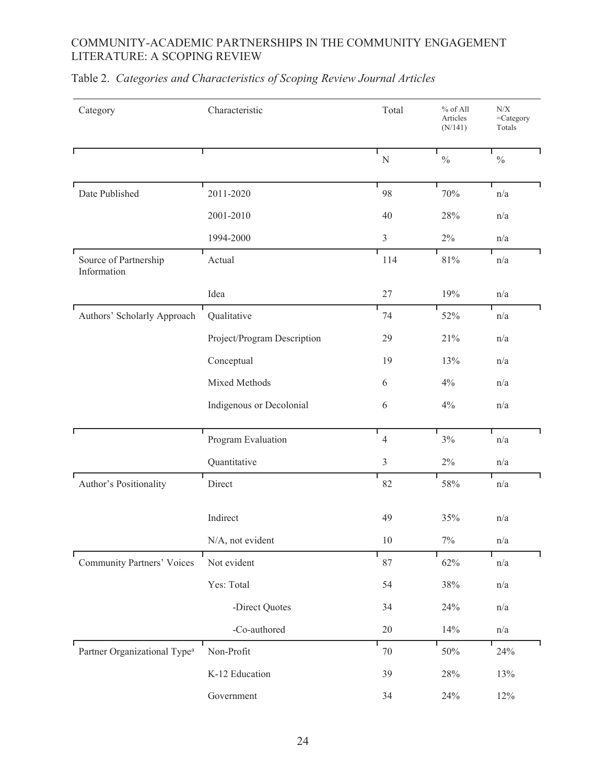| Category                                 | Characteristic              | Total          | % of All<br>Articles<br>(N/141) | ${\rm N/X}$<br>$=$ Category<br>Totals |
|------------------------------------------|-----------------------------|----------------|---------------------------------|---------------------------------------|
|                                          |                             | ${\bf N}$      | $\frac{0}{0}$                   | $\frac{0}{0}$                         |
| Date Published                           | 2011-2020                   | 98             | 70%                             | n/a                                   |
|                                          | 2001-2010                   | 40             | 28%                             | n/a                                   |
|                                          | 1994-2000                   | $\overline{3}$ | $2\%$                           | n/a                                   |
| Source of Partnership<br>Information     | Actual                      | 114            | $81\%$                          | n/a                                   |
|                                          | Idea                        | 27             | 19%                             | n/a                                   |
| Authors' Scholarly Approach              | Qualitative                 | 74             | 52%                             | n/a                                   |
|                                          | Project/Program Description | 29             | 21%                             | n/a                                   |
|                                          | Conceptual                  | 19             | 13%                             | n/a                                   |
|                                          | Mixed Methods               | 6              | 4%                              | n/a                                   |
|                                          | Indigenous or Decolonial    | 6              | $4\%$                           | n/a                                   |
|                                          | Program Evaluation          | $\overline{4}$ | $3\%$                           | n/a                                   |
|                                          | Quantitative                | $\overline{3}$ | $2\%$                           | n/a                                   |
| Author's Positionality                   | Direct                      | 82             | 58%                             | $\mathrm{n}/\mathrm{a}$               |
|                                          | Indirect                    | 49             | 35%                             | n/a                                   |
|                                          | N/A, not evident            | 10             | 7%                              | n/a                                   |
| <b>Community Partners' Voices</b>        | Not evident                 | 87             | 62%                             | n/a                                   |
|                                          | Yes: Total                  | 54             | $38\%$                          | n/a                                   |
|                                          | -Direct Quotes              | 34             | 24%                             | n/a                                   |
|                                          | -Co-authored                | $20\,$         | 14%                             | n/a                                   |
| Partner Organizational Type <sup>a</sup> | Non-Profit                  | 70             | $50\%$                          | 24%                                   |
|                                          | K-12 Education              | 39             | $28\%$                          | 13%                                   |
|                                          | Government                  | 34             | $24\%$                          | 12%                                   |

# Table 2. *Categories and Characteristics of Scoping Review Journal Articles*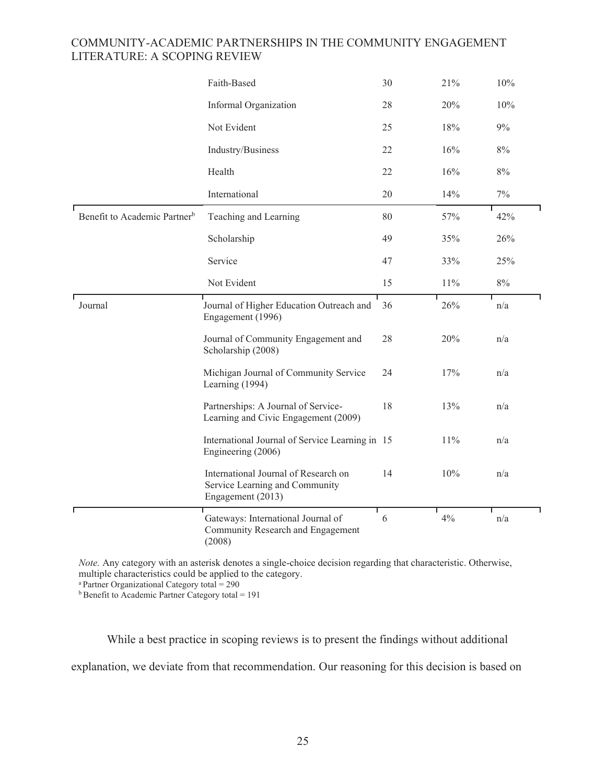|                                          | Faith-Based                                                                                 | 30 | 21% | 10%   |
|------------------------------------------|---------------------------------------------------------------------------------------------|----|-----|-------|
|                                          | Informal Organization                                                                       | 28 | 20% | 10%   |
|                                          | Not Evident                                                                                 | 25 | 18% | 9%    |
|                                          | Industry/Business                                                                           | 22 | 16% | $8\%$ |
|                                          | Health                                                                                      | 22 | 16% | $8\%$ |
|                                          | International                                                                               | 20 | 14% | $7\%$ |
| Benefit to Academic Partner <sup>b</sup> | Teaching and Learning                                                                       | 80 | 57% | 42%   |
|                                          | Scholarship                                                                                 | 49 | 35% | 26%   |
|                                          | Service                                                                                     | 47 | 33% | 25%   |
|                                          | Not Evident                                                                                 | 15 | 11% | $8\%$ |
| Journal                                  | Journal of Higher Education Outreach and<br>Engagement (1996)                               | 36 | 26% | n/a   |
|                                          | Journal of Community Engagement and<br>Scholarship (2008)                                   | 28 | 20% | n/a   |
|                                          | Michigan Journal of Community Service<br>Learning (1994)                                    | 24 | 17% | n/a   |
|                                          | Partnerships: A Journal of Service-<br>Learning and Civic Engagement (2009)                 | 18 | 13% | n/a   |
|                                          | International Journal of Service Learning in 15<br>Engineering (2006)                       |    | 11% | n/a   |
|                                          | International Journal of Research on<br>Service Learning and Community<br>Engagement (2013) | 14 | 10% | n/a   |
|                                          | Т<br>Gateways: International Journal of<br>Community Research and Engagement<br>(2008)      | 6  | 4%  | n/a   |

*Note.* Any category with an asterisk denotes a single-choice decision regarding that characteristic. Otherwise, multiple characteristics could be applied to the category.

a Partner Organizational Category total = 290

 $b$  Benefit to Academic Partner Category total = 191

While a best practice in scoping reviews is to present the findings without additional explanation, we deviate from that recommendation. Our reasoning for this decision is based on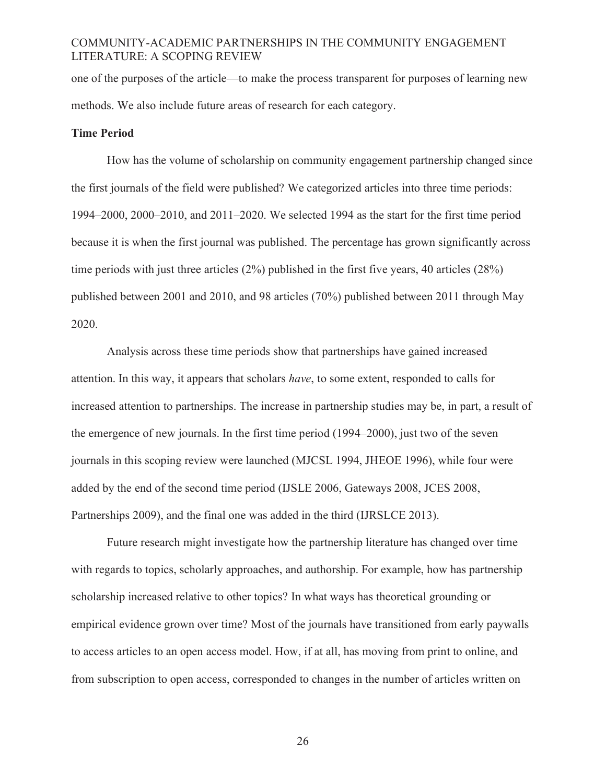one of the purposes of the article—to make the process transparent for purposes of learning new methods. We also include future areas of research for each category.

#### **Time Period**

How has the volume of scholarship on community engagement partnership changed since the first journals of the field were published? We categorized articles into three time periods: 1994–2000, 2000–2010, and 2011–2020. We selected 1994 as the start for the first time period because it is when the first journal was published. The percentage has grown significantly across time periods with just three articles (2%) published in the first five years, 40 articles (28%) published between 2001 and 2010, and 98 articles (70%) published between 2011 through May 2020.

Analysis across these time periods show that partnerships have gained increased attention. In this way, it appears that scholars *have*, to some extent, responded to calls for increased attention to partnerships. The increase in partnership studies may be, in part, a result of the emergence of new journals. In the first time period (1994–2000), just two of the seven journals in this scoping review were launched (MJCSL 1994, JHEOE 1996), while four were added by the end of the second time period (IJSLE 2006, Gateways 2008, JCES 2008, Partnerships 2009), and the final one was added in the third (IJRSLCE 2013).

Future research might investigate how the partnership literature has changed over time with regards to topics, scholarly approaches, and authorship. For example, how has partnership scholarship increased relative to other topics? In what ways has theoretical grounding or empirical evidence grown over time? Most of the journals have transitioned from early paywalls to access articles to an open access model. How, if at all, has moving from print to online, and from subscription to open access, corresponded to changes in the number of articles written on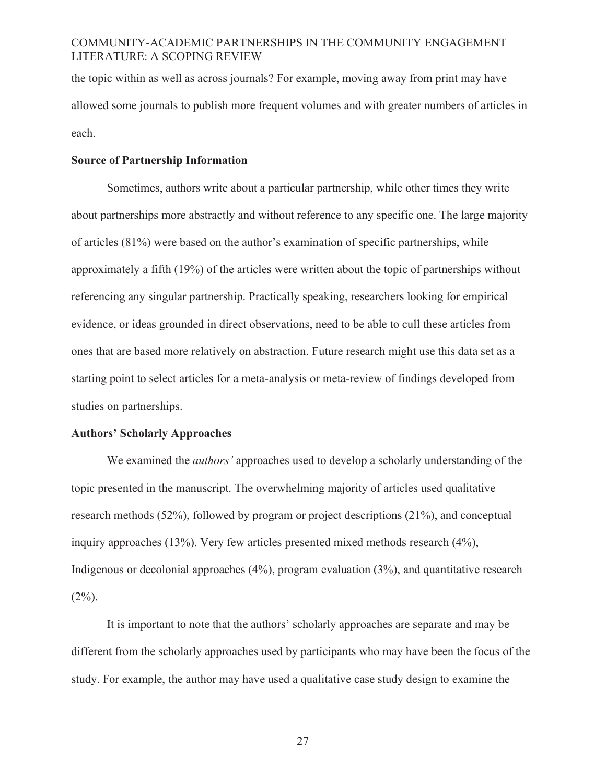the topic within as well as across journals? For example, moving away from print may have allowed some journals to publish more frequent volumes and with greater numbers of articles in each.

### **Source of Partnership Information**

Sometimes, authors write about a particular partnership, while other times they write about partnerships more abstractly and without reference to any specific one. The large majority of articles (81%) were based on the author's examination of specific partnerships, while approximately a fifth (19%) of the articles were written about the topic of partnerships without referencing any singular partnership. Practically speaking, researchers looking for empirical evidence, or ideas grounded in direct observations, need to be able to cull these articles from ones that are based more relatively on abstraction. Future research might use this data set as a starting point to select articles for a meta-analysis or meta-review of findings developed from studies on partnerships.

### **Authors' Scholarly Approaches**

We examined the *authors'* approaches used to develop a scholarly understanding of the topic presented in the manuscript. The overwhelming majority of articles used qualitative research methods (52%), followed by program or project descriptions (21%), and conceptual inquiry approaches (13%). Very few articles presented mixed methods research (4%), Indigenous or decolonial approaches (4%), program evaluation (3%), and quantitative research  $(2\%)$ .

It is important to note that the authors' scholarly approaches are separate and may be different from the scholarly approaches used by participants who may have been the focus of the study. For example, the author may have used a qualitative case study design to examine the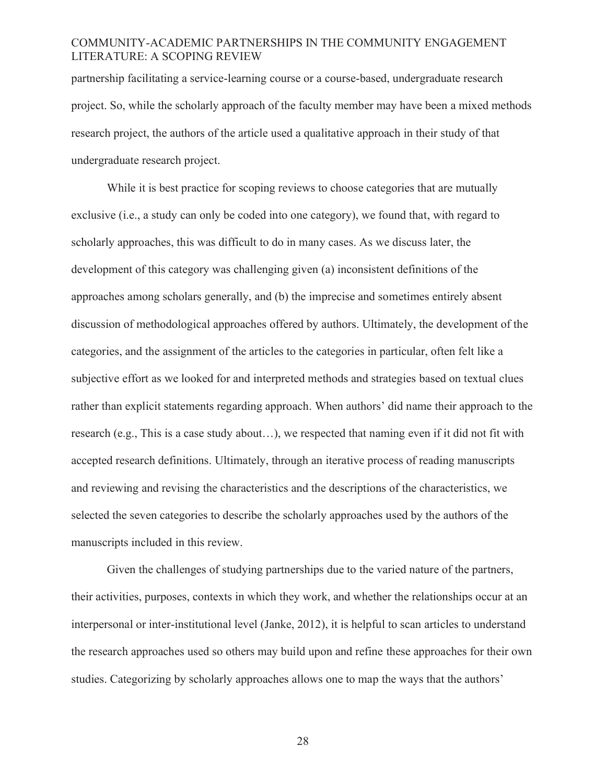partnership facilitating a service-learning course or a course-based, undergraduate research project. So, while the scholarly approach of the faculty member may have been a mixed methods research project, the authors of the article used a qualitative approach in their study of that undergraduate research project.

While it is best practice for scoping reviews to choose categories that are mutually exclusive (i.e., a study can only be coded into one category), we found that, with regard to scholarly approaches, this was difficult to do in many cases. As we discuss later, the development of this category was challenging given (a) inconsistent definitions of the approaches among scholars generally, and (b) the imprecise and sometimes entirely absent discussion of methodological approaches offered by authors. Ultimately, the development of the categories, and the assignment of the articles to the categories in particular, often felt like a subjective effort as we looked for and interpreted methods and strategies based on textual clues rather than explicit statements regarding approach. When authors' did name their approach to the research (e.g., This is a case study about…), we respected that naming even if it did not fit with accepted research definitions. Ultimately, through an iterative process of reading manuscripts and reviewing and revising the characteristics and the descriptions of the characteristics, we selected the seven categories to describe the scholarly approaches used by the authors of the manuscripts included in this review.

Given the challenges of studying partnerships due to the varied nature of the partners, their activities, purposes, contexts in which they work, and whether the relationships occur at an interpersonal or inter-institutional level (Janke, 2012), it is helpful to scan articles to understand the research approaches used so others may build upon and refine these approaches for their own studies. Categorizing by scholarly approaches allows one to map the ways that the authors'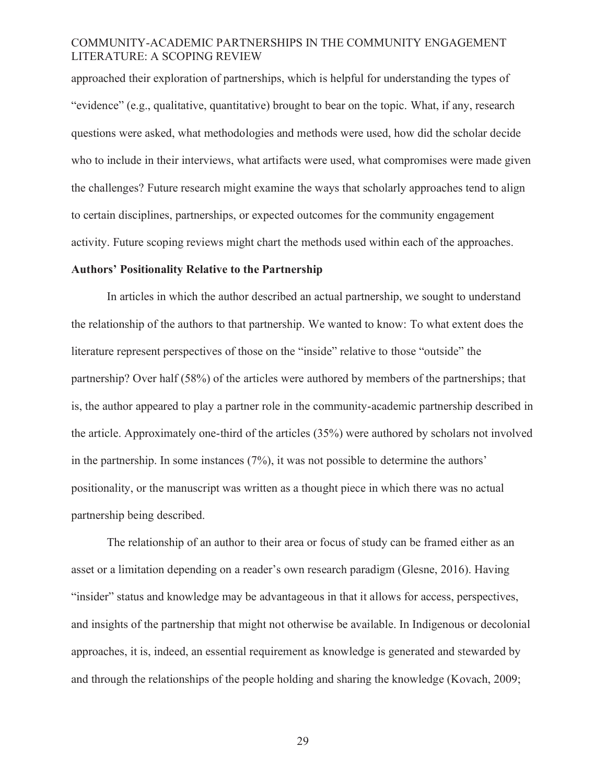approached their exploration of partnerships, which is helpful for understanding the types of "evidence" (e.g., qualitative, quantitative) brought to bear on the topic. What, if any, research questions were asked, what methodologies and methods were used, how did the scholar decide who to include in their interviews, what artifacts were used, what compromises were made given the challenges? Future research might examine the ways that scholarly approaches tend to align to certain disciplines, partnerships, or expected outcomes for the community engagement activity. Future scoping reviews might chart the methods used within each of the approaches.

#### **Authors' Positionality Relative to the Partnership**

In articles in which the author described an actual partnership, we sought to understand the relationship of the authors to that partnership. We wanted to know: To what extent does the literature represent perspectives of those on the "inside" relative to those "outside" the partnership? Over half (58%) of the articles were authored by members of the partnerships; that is, the author appeared to play a partner role in the community-academic partnership described in the article. Approximately one-third of the articles (35%) were authored by scholars not involved in the partnership. In some instances (7%), it was not possible to determine the authors' positionality, or the manuscript was written as a thought piece in which there was no actual partnership being described.

The relationship of an author to their area or focus of study can be framed either as an asset or a limitation depending on a reader's own research paradigm (Glesne, 2016). Having "insider" status and knowledge may be advantageous in that it allows for access, perspectives, and insights of the partnership that might not otherwise be available. In Indigenous or decolonial approaches, it is, indeed, an essential requirement as knowledge is generated and stewarded by and through the relationships of the people holding and sharing the knowledge (Kovach, 2009;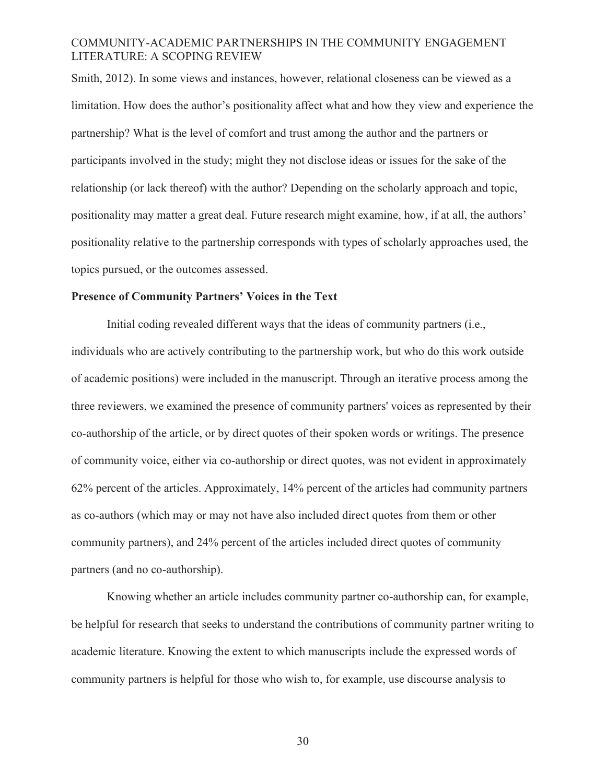Smith, 2012). In some views and instances, however, relational closeness can be viewed as a limitation. How does the author's positionality affect what and how they view and experience the partnership? What is the level of comfort and trust among the author and the partners or participants involved in the study; might they not disclose ideas or issues for the sake of the relationship (or lack thereof) with the author? Depending on the scholarly approach and topic, positionality may matter a great deal. Future research might examine, how, if at all, the authors' positionality relative to the partnership corresponds with types of scholarly approaches used, the topics pursued, or the outcomes assessed.

#### **Presence of Community Partners' Voices in the Text**

Initial coding revealed different ways that the ideas of community partners (i.e., individuals who are actively contributing to the partnership work, but who do this work outside of academic positions) were included in the manuscript. Through an iterative process among the three reviewers, we examined the presence of community partners' voices as represented by their co-authorship of the article, or by direct quotes of their spoken words or writings. The presence of community voice, either via co-authorship or direct quotes, was not evident in approximately 62% percent of the articles. Approximately, 14% percent of the articles had community partners as co-authors (which may or may not have also included direct quotes from them or other community partners), and 24% percent of the articles included direct quotes of community partners (and no co-authorship).

Knowing whether an article includes community partner co-authorship can, for example, be helpful for research that seeks to understand the contributions of community partner writing to academic literature. Knowing the extent to which manuscripts include the expressed words of community partners is helpful for those who wish to, for example, use discourse analysis to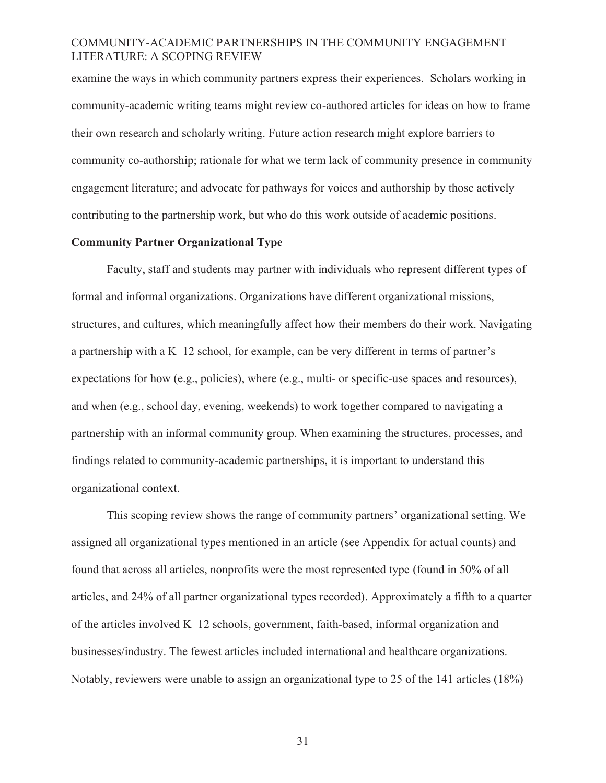examine the ways in which community partners express their experiences. Scholars working in community-academic writing teams might review co-authored articles for ideas on how to frame their own research and scholarly writing. Future action research might explore barriers to community co-authorship; rationale for what we term lack of community presence in community engagement literature; and advocate for pathways for voices and authorship by those actively contributing to the partnership work, but who do this work outside of academic positions.

# **Community Partner Organizational Type**

Faculty, staff and students may partner with individuals who represent different types of formal and informal organizations. Organizations have different organizational missions, structures, and cultures, which meaningfully affect how their members do their work. Navigating a partnership with a K–12 school, for example, can be very different in terms of partner's expectations for how (e.g., policies), where (e.g., multi- or specific-use spaces and resources), and when (e.g., school day, evening, weekends) to work together compared to navigating a partnership with an informal community group. When examining the structures, processes, and findings related to community-academic partnerships, it is important to understand this organizational context.

This scoping review shows the range of community partners' organizational setting. We assigned all organizational types mentioned in an article (see Appendix for actual counts) and found that across all articles, nonprofits were the most represented type (found in 50% of all articles, and 24% of all partner organizational types recorded). Approximately a fifth to a quarter of the articles involved K–12 schools, government, faith-based, informal organization and businesses/industry. The fewest articles included international and healthcare organizations. Notably, reviewers were unable to assign an organizational type to 25 of the 141 articles (18%)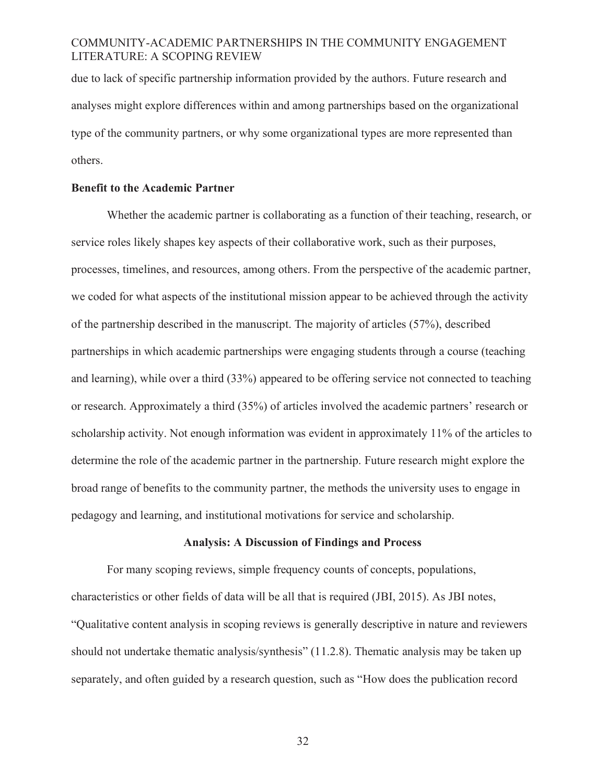due to lack of specific partnership information provided by the authors. Future research and analyses might explore differences within and among partnerships based on the organizational type of the community partners, or why some organizational types are more represented than others.

### **Benefit to the Academic Partner**

Whether the academic partner is collaborating as a function of their teaching, research, or service roles likely shapes key aspects of their collaborative work, such as their purposes, processes, timelines, and resources, among others. From the perspective of the academic partner, we coded for what aspects of the institutional mission appear to be achieved through the activity of the partnership described in the manuscript. The majority of articles (57%), described partnerships in which academic partnerships were engaging students through a course (teaching and learning), while over a third (33%) appeared to be offering service not connected to teaching or research. Approximately a third (35%) of articles involved the academic partners' research or scholarship activity. Not enough information was evident in approximately 11% of the articles to determine the role of the academic partner in the partnership. Future research might explore the broad range of benefits to the community partner, the methods the university uses to engage in pedagogy and learning, and institutional motivations for service and scholarship.

### **Analysis: A Discussion of Findings and Process**

For many scoping reviews, simple frequency counts of concepts, populations, characteristics or other fields of data will be all that is required (JBI, 2015). As JBI notes, "Qualitative content analysis in scoping reviews is generally descriptive in nature and reviewers should not undertake thematic analysis/synthesis" (11.2.8). Thematic analysis may be taken up separately, and often guided by a research question, such as "How does the publication record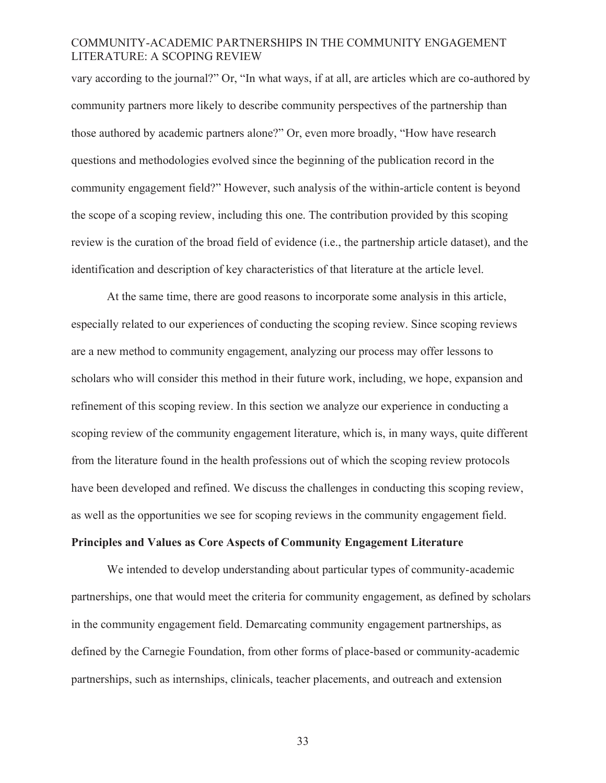vary according to the journal?" Or, "In what ways, if at all, are articles which are co-authored by community partners more likely to describe community perspectives of the partnership than those authored by academic partners alone?" Or, even more broadly, "How have research questions and methodologies evolved since the beginning of the publication record in the community engagement field?" However, such analysis of the within-article content is beyond the scope of a scoping review, including this one. The contribution provided by this scoping review is the curation of the broad field of evidence (i.e., the partnership article dataset), and the identification and description of key characteristics of that literature at the article level.

At the same time, there are good reasons to incorporate some analysis in this article, especially related to our experiences of conducting the scoping review. Since scoping reviews are a new method to community engagement, analyzing our process may offer lessons to scholars who will consider this method in their future work, including, we hope, expansion and refinement of this scoping review. In this section we analyze our experience in conducting a scoping review of the community engagement literature, which is, in many ways, quite different from the literature found in the health professions out of which the scoping review protocols have been developed and refined. We discuss the challenges in conducting this scoping review, as well as the opportunities we see for scoping reviews in the community engagement field.

# **Principles and Values as Core Aspects of Community Engagement Literature**

We intended to develop understanding about particular types of community-academic partnerships, one that would meet the criteria for community engagement, as defined by scholars in the community engagement field. Demarcating community engagement partnerships, as defined by the Carnegie Foundation, from other forms of place-based or community-academic partnerships, such as internships, clinicals, teacher placements, and outreach and extension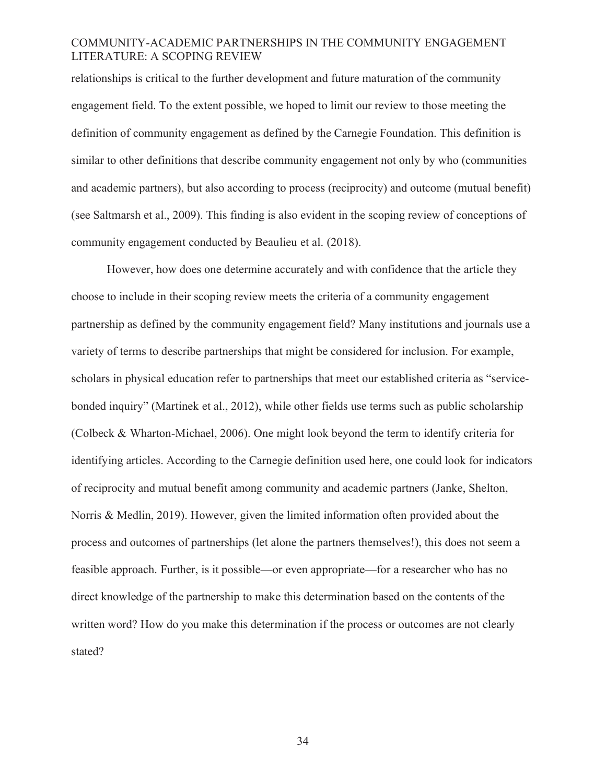relationships is critical to the further development and future maturation of the community engagement field. To the extent possible, we hoped to limit our review to those meeting the definition of community engagement as defined by the Carnegie Foundation. This definition is similar to other definitions that describe community engagement not only by who (communities and academic partners), but also according to process (reciprocity) and outcome (mutual benefit) (see Saltmarsh et al., 2009). This finding is also evident in the scoping review of conceptions of community engagement conducted by Beaulieu et al. (2018).

However, how does one determine accurately and with confidence that the article they choose to include in their scoping review meets the criteria of a community engagement partnership as defined by the community engagement field? Many institutions and journals use a variety of terms to describe partnerships that might be considered for inclusion. For example, scholars in physical education refer to partnerships that meet our established criteria as "servicebonded inquiry" (Martinek et al., 2012), while other fields use terms such as public scholarship (Colbeck & Wharton-Michael, 2006). One might look beyond the term to identify criteria for identifying articles. According to the Carnegie definition used here, one could look for indicators of reciprocity and mutual benefit among community and academic partners (Janke, Shelton, Norris & Medlin, 2019). However, given the limited information often provided about the process and outcomes of partnerships (let alone the partners themselves!), this does not seem a feasible approach. Further, is it possible—or even appropriate—for a researcher who has no direct knowledge of the partnership to make this determination based on the contents of the written word? How do you make this determination if the process or outcomes are not clearly stated?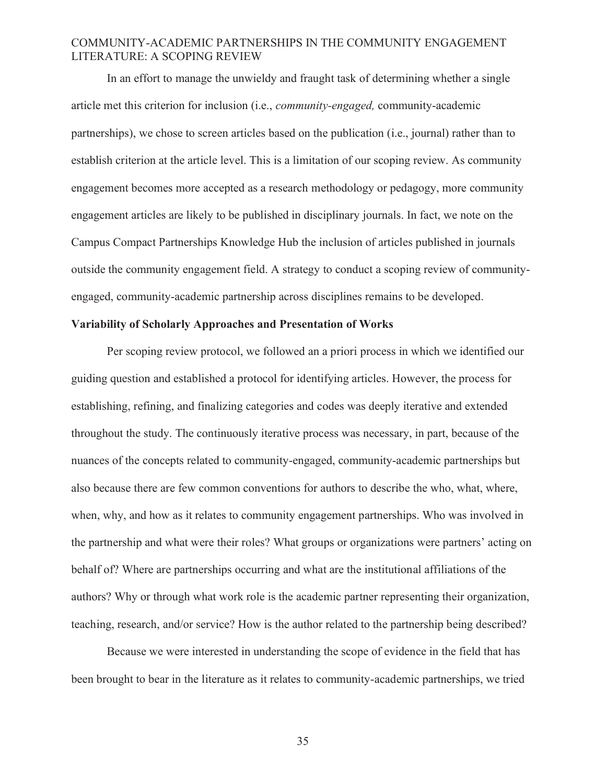In an effort to manage the unwieldy and fraught task of determining whether a single article met this criterion for inclusion (i.e., *community-engaged,* community-academic partnerships), we chose to screen articles based on the publication (i.e., journal) rather than to establish criterion at the article level. This is a limitation of our scoping review. As community engagement becomes more accepted as a research methodology or pedagogy, more community engagement articles are likely to be published in disciplinary journals. In fact, we note on the Campus Compact Partnerships Knowledge Hub the inclusion of articles published in journals outside the community engagement field. A strategy to conduct a scoping review of communityengaged, community-academic partnership across disciplines remains to be developed.

### **Variability of Scholarly Approaches and Presentation of Works**

Per scoping review protocol, we followed an a priori process in which we identified our guiding question and established a protocol for identifying articles. However, the process for establishing, refining, and finalizing categories and codes was deeply iterative and extended throughout the study. The continuously iterative process was necessary, in part, because of the nuances of the concepts related to community-engaged, community-academic partnerships but also because there are few common conventions for authors to describe the who, what, where, when, why, and how as it relates to community engagement partnerships. Who was involved in the partnership and what were their roles? What groups or organizations were partners' acting on behalf of? Where are partnerships occurring and what are the institutional affiliations of the authors? Why or through what work role is the academic partner representing their organization, teaching, research, and/or service? How is the author related to the partnership being described?

Because we were interested in understanding the scope of evidence in the field that has been brought to bear in the literature as it relates to community-academic partnerships, we tried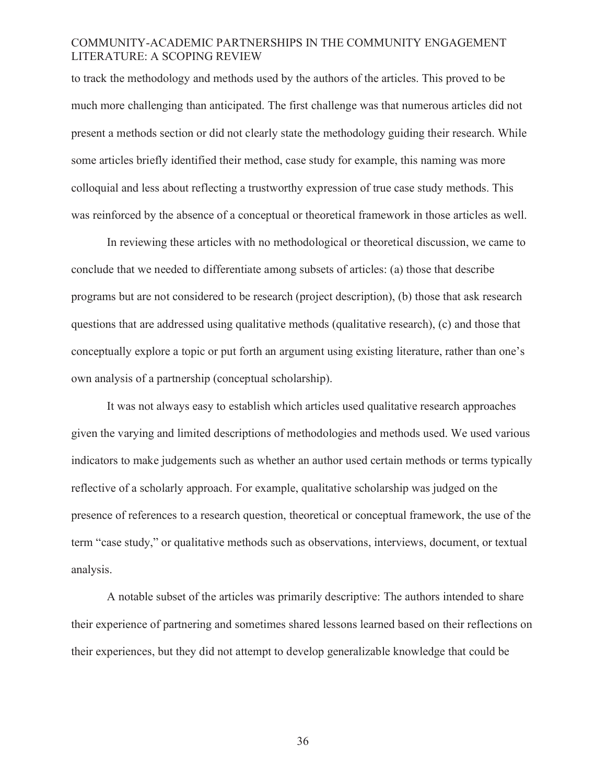to track the methodology and methods used by the authors of the articles. This proved to be much more challenging than anticipated. The first challenge was that numerous articles did not present a methods section or did not clearly state the methodology guiding their research. While some articles briefly identified their method, case study for example, this naming was more colloquial and less about reflecting a trustworthy expression of true case study methods. This was reinforced by the absence of a conceptual or theoretical framework in those articles as well.

In reviewing these articles with no methodological or theoretical discussion, we came to conclude that we needed to differentiate among subsets of articles: (a) those that describe programs but are not considered to be research (project description), (b) those that ask research questions that are addressed using qualitative methods (qualitative research), (c) and those that conceptually explore a topic or put forth an argument using existing literature, rather than one's own analysis of a partnership (conceptual scholarship).

It was not always easy to establish which articles used qualitative research approaches given the varying and limited descriptions of methodologies and methods used. We used various indicators to make judgements such as whether an author used certain methods or terms typically reflective of a scholarly approach. For example, qualitative scholarship was judged on the presence of references to a research question, theoretical or conceptual framework, the use of the term "case study," or qualitative methods such as observations, interviews, document, or textual analysis.

A notable subset of the articles was primarily descriptive: The authors intended to share their experience of partnering and sometimes shared lessons learned based on their reflections on their experiences, but they did not attempt to develop generalizable knowledge that could be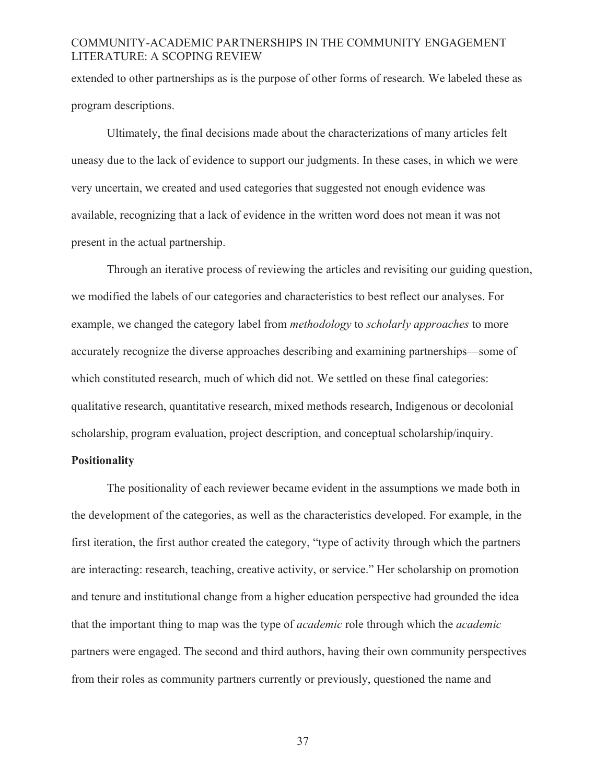extended to other partnerships as is the purpose of other forms of research. We labeled these as program descriptions.

Ultimately, the final decisions made about the characterizations of many articles felt uneasy due to the lack of evidence to support our judgments. In these cases, in which we were very uncertain, we created and used categories that suggested not enough evidence was available, recognizing that a lack of evidence in the written word does not mean it was not present in the actual partnership.

Through an iterative process of reviewing the articles and revisiting our guiding question, we modified the labels of our categories and characteristics to best reflect our analyses. For example, we changed the category label from *methodology* to *scholarly approaches* to more accurately recognize the diverse approaches describing and examining partnerships—some of which constituted research, much of which did not. We settled on these final categories: qualitative research, quantitative research, mixed methods research, Indigenous or decolonial scholarship, program evaluation, project description, and conceptual scholarship/inquiry.

### **Positionality**

The positionality of each reviewer became evident in the assumptions we made both in the development of the categories, as well as the characteristics developed. For example, in the first iteration, the first author created the category, "type of activity through which the partners are interacting: research, teaching, creative activity, or service." Her scholarship on promotion and tenure and institutional change from a higher education perspective had grounded the idea that the important thing to map was the type of *academic* role through which the *academic*  partners were engaged. The second and third authors, having their own community perspectives from their roles as community partners currently or previously, questioned the name and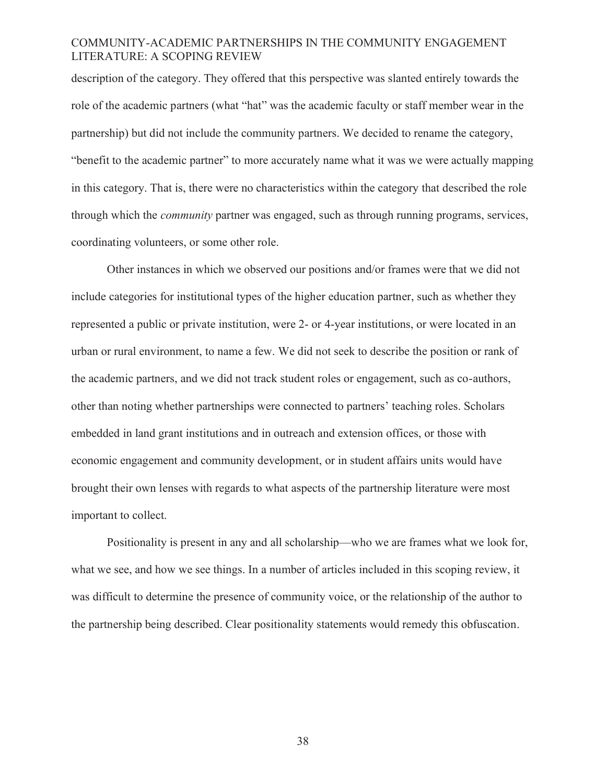description of the category. They offered that this perspective was slanted entirely towards the role of the academic partners (what "hat" was the academic faculty or staff member wear in the partnership) but did not include the community partners. We decided to rename the category, "benefit to the academic partner" to more accurately name what it was we were actually mapping in this category. That is, there were no characteristics within the category that described the role through which the *community* partner was engaged, such as through running programs, services, coordinating volunteers, or some other role.

Other instances in which we observed our positions and/or frames were that we did not include categories for institutional types of the higher education partner, such as whether they represented a public or private institution, were 2- or 4-year institutions, or were located in an urban or rural environment, to name a few. We did not seek to describe the position or rank of the academic partners, and we did not track student roles or engagement, such as co-authors, other than noting whether partnerships were connected to partners' teaching roles. Scholars embedded in land grant institutions and in outreach and extension offices, or those with economic engagement and community development, or in student affairs units would have brought their own lenses with regards to what aspects of the partnership literature were most important to collect.

Positionality is present in any and all scholarship—who we are frames what we look for, what we see, and how we see things. In a number of articles included in this scoping review, it was difficult to determine the presence of community voice, or the relationship of the author to the partnership being described. Clear positionality statements would remedy this obfuscation.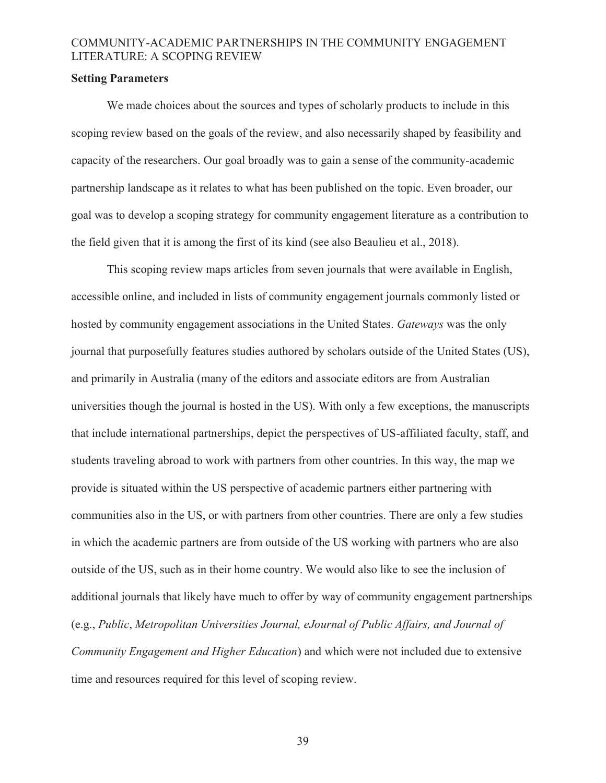### **Setting Parameters**

We made choices about the sources and types of scholarly products to include in this scoping review based on the goals of the review, and also necessarily shaped by feasibility and capacity of the researchers. Our goal broadly was to gain a sense of the community-academic partnership landscape as it relates to what has been published on the topic. Even broader, our goal was to develop a scoping strategy for community engagement literature as a contribution to the field given that it is among the first of its kind (see also Beaulieu et al., 2018).

This scoping review maps articles from seven journals that were available in English, accessible online, and included in lists of community engagement journals commonly listed or hosted by community engagement associations in the United States. *Gateways* was the only journal that purposefully features studies authored by scholars outside of the United States (US), and primarily in Australia (many of the editors and associate editors are from Australian universities though the journal is hosted in the US). With only a few exceptions, the manuscripts that include international partnerships, depict the perspectives of US-affiliated faculty, staff, and students traveling abroad to work with partners from other countries. In this way, the map we provide is situated within the US perspective of academic partners either partnering with communities also in the US, or with partners from other countries. There are only a few studies in which the academic partners are from outside of the US working with partners who are also outside of the US, such as in their home country. We would also like to see the inclusion of additional journals that likely have much to offer by way of community engagement partnerships (e.g., *Public*, *Metropolitan Universities Journal, eJournal of Public Affairs, and Journal of Community Engagement and Higher Education*) and which were not included due to extensive time and resources required for this level of scoping review.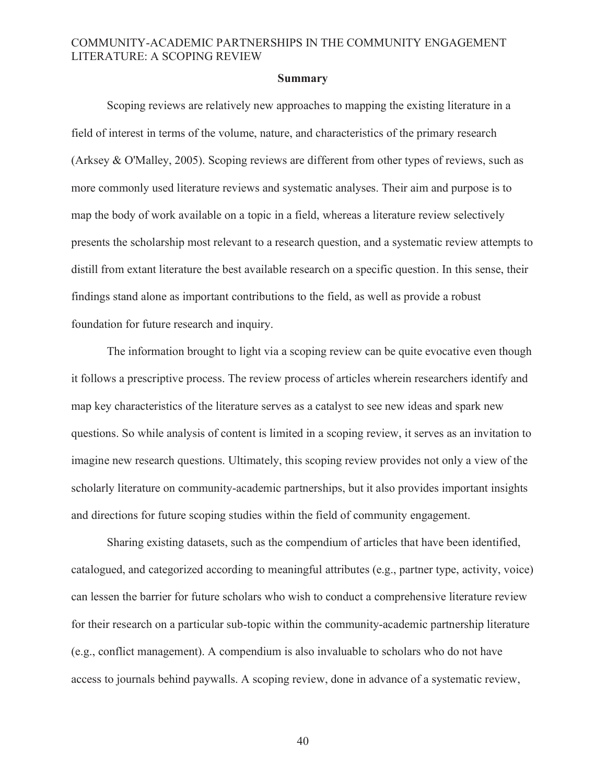#### **Summary**

Scoping reviews are relatively new approaches to mapping the existing literature in a field of interest in terms of the volume, nature, and characteristics of the primary research (Arksey & O'Malley, 2005). Scoping reviews are different from other types of reviews, such as more commonly used literature reviews and systematic analyses. Their aim and purpose is to map the body of work available on a topic in a field, whereas a literature review selectively presents the scholarship most relevant to a research question, and a systematic review attempts to distill from extant literature the best available research on a specific question. In this sense, their findings stand alone as important contributions to the field, as well as provide a robust foundation for future research and inquiry.

The information brought to light via a scoping review can be quite evocative even though it follows a prescriptive process. The review process of articles wherein researchers identify and map key characteristics of the literature serves as a catalyst to see new ideas and spark new questions. So while analysis of content is limited in a scoping review, it serves as an invitation to imagine new research questions. Ultimately, this scoping review provides not only a view of the scholarly literature on community-academic partnerships, but it also provides important insights and directions for future scoping studies within the field of community engagement.

Sharing existing datasets, such as the compendium of articles that have been identified, catalogued, and categorized according to meaningful attributes (e.g., partner type, activity, voice) can lessen the barrier for future scholars who wish to conduct a comprehensive literature review for their research on a particular sub-topic within the community-academic partnership literature (e.g., conflict management). A compendium is also invaluable to scholars who do not have access to journals behind paywalls. A scoping review, done in advance of a systematic review,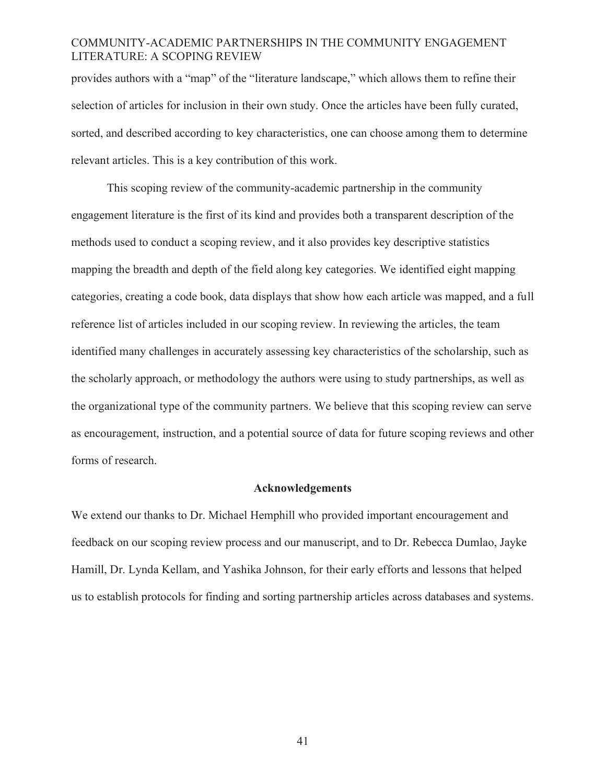provides authors with a "map" of the "literature landscape," which allows them to refine their selection of articles for inclusion in their own study. Once the articles have been fully curated, sorted, and described according to key characteristics, one can choose among them to determine relevant articles. This is a key contribution of this work.

This scoping review of the community-academic partnership in the community engagement literature is the first of its kind and provides both a transparent description of the methods used to conduct a scoping review, and it also provides key descriptive statistics mapping the breadth and depth of the field along key categories. We identified eight mapping categories, creating a code book, data displays that show how each article was mapped, and a full reference list of articles included in our scoping review. In reviewing the articles, the team identified many challenges in accurately assessing key characteristics of the scholarship, such as the scholarly approach, or methodology the authors were using to study partnerships, as well as the organizational type of the community partners. We believe that this scoping review can serve as encouragement, instruction, and a potential source of data for future scoping reviews and other forms of research.

### **Acknowledgements**

We extend our thanks to Dr. Michael Hemphill who provided important encouragement and feedback on our scoping review process and our manuscript, and to Dr. Rebecca Dumlao, Jayke Hamill, Dr. Lynda Kellam, and Yashika Johnson, for their early efforts and lessons that helped us to establish protocols for finding and sorting partnership articles across databases and systems.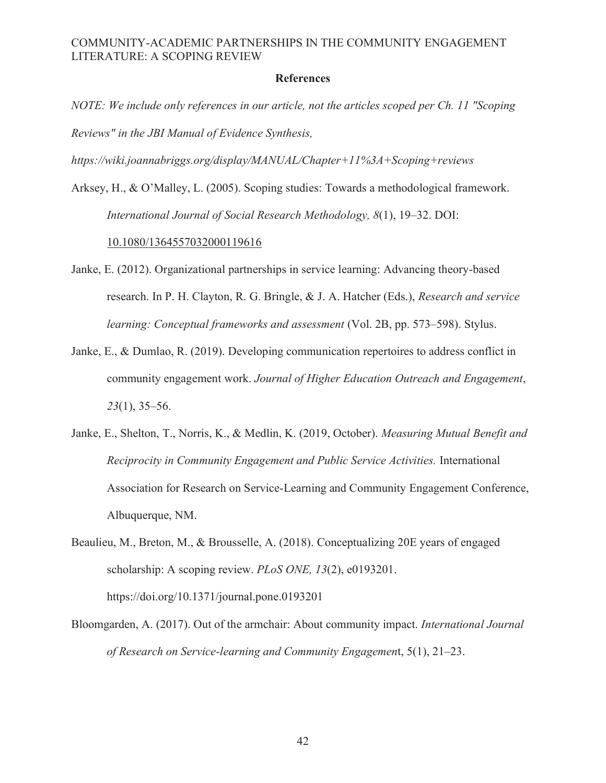#### **References**

*NOTE: We include only references in our article, not the articles scoped per Ch. 11 "Scoping Reviews" in the JBI Manual of Evidence Synthesis,* 

*https://wiki.joannabriggs.org/display/MANUAL/Chapter+11%3A+Scoping+reviews* 

Arksey, H., & O'Malley, L. (2005). Scoping studies: Towards a methodological framework. *International Journal of Social Research Methodology, 8*(1), 19–32. DOI:

### 10.1080/1364557032000119616

- Janke, E. (2012). Organizational partnerships in service learning: Advancing theory-based research. In P. H. Clayton, R. G. Bringle, & J. A. Hatcher (Eds.), *Research and service learning: Conceptual frameworks and assessment* (Vol. 2B, pp. 573–598). Stylus.
- Janke, E., & Dumlao, R. (2019). Developing communication repertoires to address conflict in community engagement work. *Journal of Higher Education Outreach and Engagement*, *23*(1), 35–56.
- Janke, E., Shelton, T., Norris, K., & Medlin, K. (2019, October). *Measuring Mutual Benefit and Reciprocity in Community Engagement and Public Service Activities.* International Association for Research on Service-Learning and Community Engagement Conference, Albuquerque, NM.
- Beaulieu, M., Breton, M., & Brousselle, A. (2018). Conceptualizing 20E years of engaged scholarship: A scoping review. *PLoS ONE, 13*(2), e0193201. https://doi.org/10.1371/journal.pone.0193201
- Bloomgarden, A. (2017). Out of the armchair: About community impact. *International Journal of Research on Service-learning and Community Engagemen*t, 5(1), 21–23.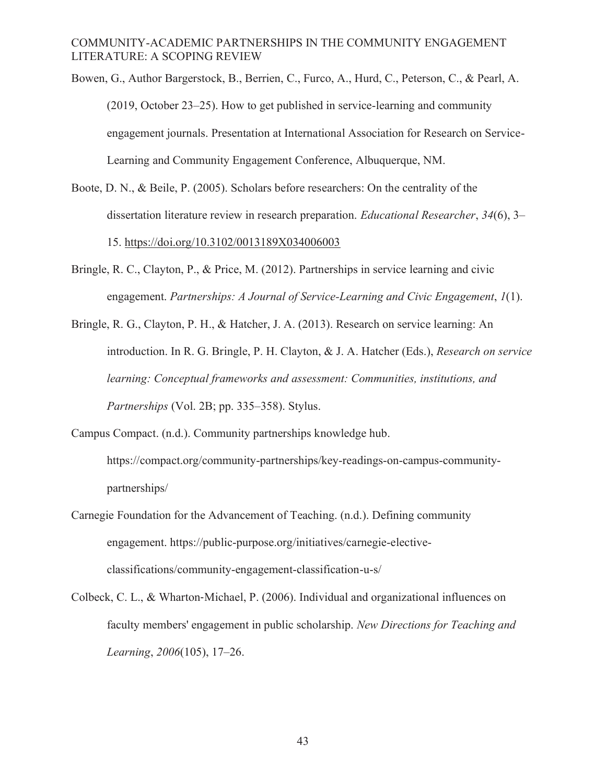Bowen, G., Author Bargerstock, B., Berrien, C., Furco, A., Hurd, C., Peterson, C., & Pearl, A. (2019, October 23–25). How to get published in service-learning and community engagement journals. Presentation at International Association for Research on Service-Learning and Community Engagement Conference, Albuquerque, NM.

- Boote, D. N., & Beile, P. (2005). Scholars before researchers: On the centrality of the dissertation literature review in research preparation. *Educational Researcher*, *34*(6), 3– 15. https://doi.org/10.3102/0013189X034006003
- Bringle, R. C., Clayton, P., & Price, M. (2012). Partnerships in service learning and civic engagement. *Partnerships: A Journal of Service-Learning and Civic Engagement*, *1*(1).
- Bringle, R. G., Clayton, P. H., & Hatcher, J. A. (2013). Research on service learning: An introduction. In R. G. Bringle, P. H. Clayton, & J. A. Hatcher (Eds.), *Research on service learning: Conceptual frameworks and assessment: Communities, institutions, and Partnerships* (Vol. 2B; pp. 335–358). Stylus.
- Campus Compact. (n.d.). Community partnerships knowledge hub. https://compact.org/community-partnerships/key-readings-on-campus-communitypartnerships/
- Carnegie Foundation for the Advancement of Teaching. (n.d.). Defining community engagement. https://public-purpose.org/initiatives/carnegie-electiveclassifications/community-engagement-classification-u-s/
- Colbeck, C. L.,  $\&$  Wharton-Michael, P. (2006). Individual and organizational influences on faculty members' engagement in public scholarship. *New Directions for Teaching and Learning*, *2006*(105), 17–26.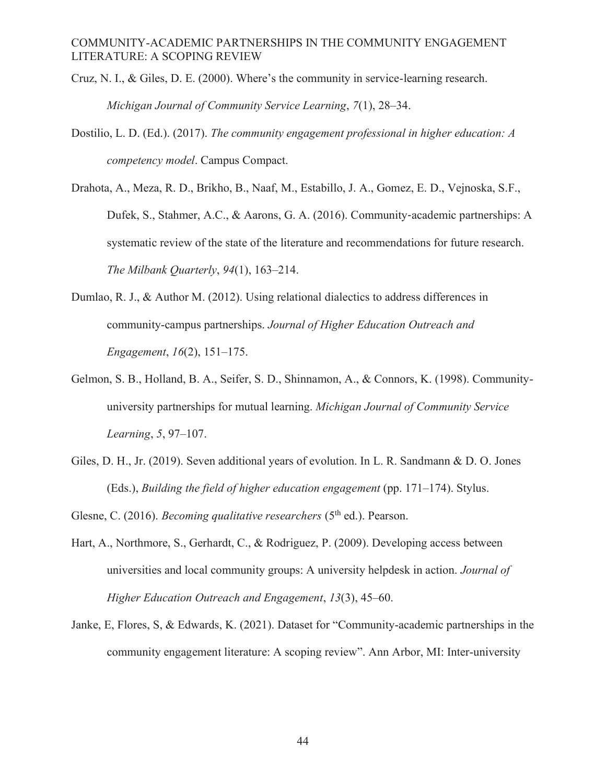- Cruz, N. I., & Giles, D. E. (2000). Where's the community in service-learning research. *Michigan Journal of Community Service Learning*, *7*(1), 28–34.
- Dostilio, L. D. (Ed.). (2017). *The community engagement professional in higher education: A competency model*. Campus Compact.

Drahota, A., Meza, R. D., Brikho, B., Naaf, M., Estabillo, J. A., Gomez, E. D., Vejnoska, S.F., Dufek, S., Stahmer, A.C., & Aarons, G. A. (2016). Community-academic partnerships: A systematic review of the state of the literature and recommendations for future research. *The Milbank Quarterly*, *94*(1), 163–214.

- Dumlao, R. J., & Author M. (2012). Using relational dialectics to address differences in community-campus partnerships. *Journal of Higher Education Outreach and Engagement*, *16*(2), 151–175.
- Gelmon, S. B., Holland, B. A., Seifer, S. D., Shinnamon, A., & Connors, K. (1998). Communityuniversity partnerships for mutual learning. *Michigan Journal of Community Service Learning*, *5*, 97–107.
- Giles, D. H., Jr. (2019). Seven additional years of evolution. In L. R. Sandmann & D. O. Jones (Eds.), *Building the field of higher education engagement* (pp. 171–174). Stylus.
- Glesne, C. (2016). *Becoming qualitative researchers* (5<sup>th</sup> ed.). Pearson.
- Hart, A., Northmore, S., Gerhardt, C., & Rodriguez, P. (2009). Developing access between universities and local community groups: A university helpdesk in action. *Journal of Higher Education Outreach and Engagement*, *13*(3), 45–60.
- Janke, E, Flores, S, & Edwards, K. (2021). Dataset for "Community-academic partnerships in the community engagement literature: A scoping review". Ann Arbor, MI: Inter-university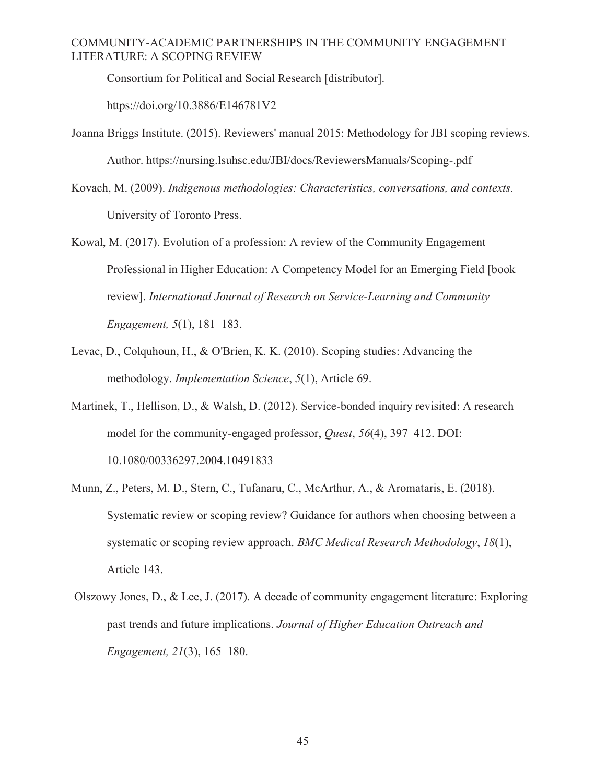Consortium for Political and Social Research [distributor].

https://doi.org/10.3886/E146781V2

- Joanna Briggs Institute. (2015). Reviewers' manual 2015: Methodology for JBI scoping reviews. Author. https://nursing.lsuhsc.edu/JBI/docs/ReviewersManuals/Scoping-.pdf
- Kovach, M. (2009). *Indigenous methodologies: Characteristics, conversations, and contexts.*  University of Toronto Press.
- Kowal, M. (2017). Evolution of a profession: A review of the Community Engagement Professional in Higher Education: A Competency Model for an Emerging Field [book review]. *International Journal of Research on Service-Learning and Community Engagement, 5*(1), 181–183.
- Levac, D., Colquhoun, H., & O'Brien, K. K. (2010). Scoping studies: Advancing the methodology. *Implementation Science*, *5*(1), Article 69.
- Martinek, T., Hellison, D., & Walsh, D. (2012). Service-bonded inquiry revisited: A research model for the community-engaged professor, *Quest*, *56*(4), 397–412. DOI: 10.1080/00336297.2004.10491833
- Munn, Z., Peters, M. D., Stern, C., Tufanaru, C., McArthur, A., & Aromataris, E. (2018). Systematic review or scoping review? Guidance for authors when choosing between a systematic or scoping review approach. *BMC Medical Research Methodology*, *18*(1), Article 143.
- Olszowy Jones, D., & Lee, J. (2017). A decade of community engagement literature: Exploring past trends and future implications. *Journal of Higher Education Outreach and Engagement, 21*(3), 165–180.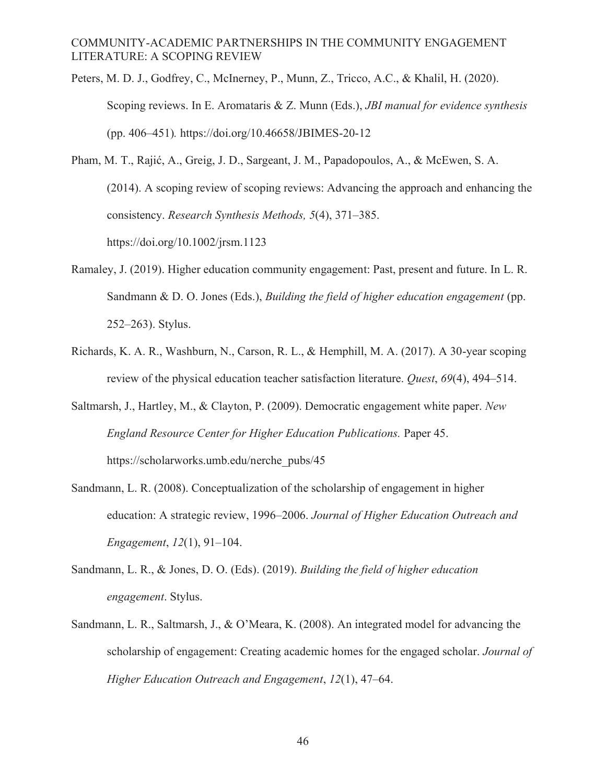- Peters, M. D. J., Godfrey, C., McInerney, P., Munn, Z., Tricco, A.C., & Khalil, H. (2020). Scoping reviews. In E. Aromataris & Z. Munn (Eds.), *JBI manual for evidence synthesis*  (pp. 406–451)*.* https://doi.org/10.46658/JBIMES-20-12
- Pham, M. T., Rajić, A., Greig, J. D., Sargeant, J. M., Papadopoulos, A., & McEwen, S. A. (2014). A scoping review of scoping reviews: Advancing the approach and enhancing the consistency. *Research Synthesis Methods, 5*(4), 371–385. https://doi.org/10.1002/jrsm.1123
- Ramaley, J. (2019). Higher education community engagement: Past, present and future. In L. R. Sandmann & D. O. Jones (Eds.), *Building the field of higher education engagement* (pp. 252–263). Stylus.
- Richards, K. A. R., Washburn, N., Carson, R. L., & Hemphill, M. A. (2017). A 30-year scoping review of the physical education teacher satisfaction literature. *Quest*, *69*(4), 494–514.
- Saltmarsh, J., Hartley, M., & Clayton, P. (2009). Democratic engagement white paper. *New England Resource Center for Higher Education Publications.* Paper 45. https://scholarworks.umb.edu/nerche\_pubs/45
- Sandmann, L. R. (2008). Conceptualization of the scholarship of engagement in higher education: A strategic review, 1996–2006. *Journal of Higher Education Outreach and Engagement*, *12*(1), 91–104.
- Sandmann, L. R., & Jones, D. O. (Eds). (2019). *Building the field of higher education engagement*. Stylus.
- Sandmann, L. R., Saltmarsh, J., & O'Meara, K. (2008). An integrated model for advancing the scholarship of engagement: Creating academic homes for the engaged scholar. *Journal of Higher Education Outreach and Engagement*, *12*(1), 47–64.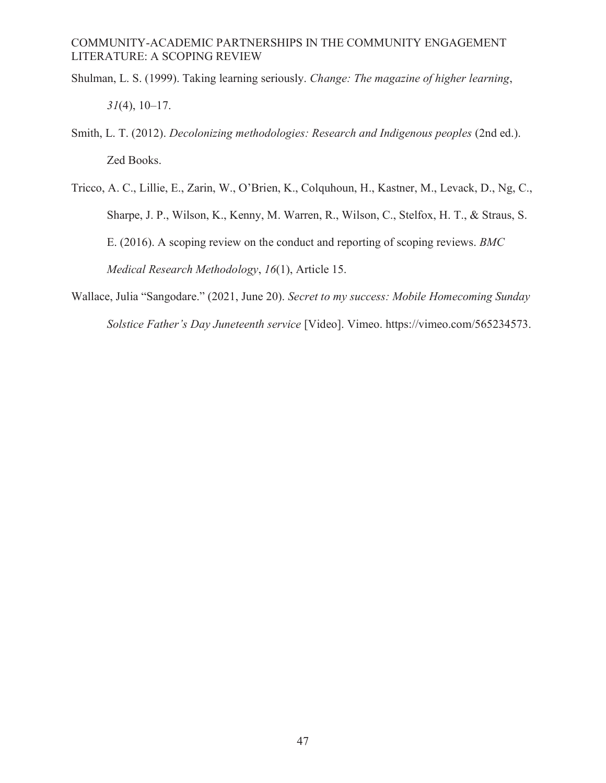- Shulman, L. S. (1999). Taking learning seriously. *Change: The magazine of higher learning*, *31*(4), 10–17.
- Smith, L. T. (2012). *Decolonizing methodologies: Research and Indigenous peoples* (2nd ed.). Zed Books.
- Tricco, A. C., Lillie, E., Zarin, W., O'Brien, K., Colquhoun, H., Kastner, M., Levack, D., Ng, C., Sharpe, J. P., Wilson, K., Kenny, M. Warren, R., Wilson, C., Stelfox, H. T., & Straus, S. E. (2016). A scoping review on the conduct and reporting of scoping reviews. *BMC Medical Research Methodology*, *16*(1), Article 15.
- Wallace, Julia "Sangodare." (2021, June 20). *Secret to my success: Mobile Homecoming Sunday Solstice Father's Day Juneteenth service* [Video]. Vimeo. https://vimeo.com/565234573.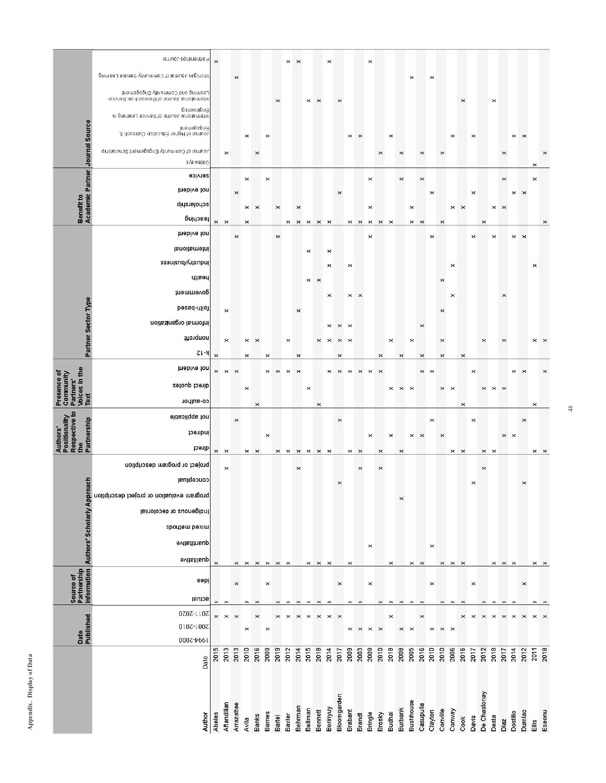|                                                                      | 0007-7661<br>Date                                                                                                                                                                                                                                                                                                                                     | 2015           | 2013<br>Aftandilian  | 2013<br>Arrazattee | 2010                            | 2016           | 2009<br><b>Barnes</b> | 2019           | 2012                       | 2014<br>Behrman               | 2015<br>Beitman       | 2018<br>Bennett            | 2014<br>Berinyuy          | 2017<br>Bloomgarden                          | 2009<br><b>Brabant</b>                              | 2003                       | 2009<br><b>Bringle</b>           | 2010<br>Brosky | 2018<br>Budhai | 2008<br>Burbank   | 2005<br>Bushhouse          | 2016<br>Casupulla                | 2010<br>Clayton       | 2010<br>Conville                                                     | 2006<br>Conway | 2016           | 2017                  | 2012<br>De Chastonay             | 2018                  | 2017                             | 2014<br>Dostilio  | 2012<br>Dumlao        | 2011              | 2018<br>Eseonu |
|----------------------------------------------------------------------|-------------------------------------------------------------------------------------------------------------------------------------------------------------------------------------------------------------------------------------------------------------------------------------------------------------------------------------------------------|----------------|----------------------|--------------------|---------------------------------|----------------|-----------------------|----------------|----------------------------|-------------------------------|-----------------------|----------------------------|---------------------------|----------------------------------------------|-----------------------------------------------------|----------------------------|----------------------------------|----------------|----------------|-------------------|----------------------------|----------------------------------|-----------------------|----------------------------------------------------------------------|----------------|----------------|-----------------------|----------------------------------|-----------------------|----------------------------------|-------------------|-----------------------|-------------------|----------------|
| Date<br>Published                                                    | 2011-2020<br>0107-1007                                                                                                                                                                                                                                                                                                                                | $\times$       | $\times$             | $\pmb{\times}$     | $\pmb{\times}$                  | $\pmb{\times}$ | $\boldsymbol{\times}$ | $\times$       | $\times$                   | $\times$                      | $\times$              | $\times$                   |                           | $\times$ $\times$                            |                                                     | $\times$ $\times$ $\times$ |                                  |                | ×              | $\times$ $\times$ |                            | $\pmb{\times}$                   | $\pmb{\times}$        | $\times$ $\times$                                                    |                | $\pmb{\times}$ | $\times$              | $\times$ $\times$                |                       | $\times$ $\times$                |                   | $\boldsymbol{\times}$ | $\times$ $\times$ |                |
|                                                                      | pepi<br>actual                                                                                                                                                                                                                                                                                                                                        | $\times$       | $\times$             | $\times$           | $\pmb{\times}$                  | $\pmb{\times}$ | $\times$              | $\pmb{\times}$ | $\times$                   | $\times$                      | $\boldsymbol{\times}$ | $\pmb{\times}$             | $\boldsymbol{\times}$     | $\pmb{\times}$                               | $\pmb{\times}$                                      | $\pmb{\times}$             | $\pmb{\times}$                   | ×              | $\pmb{\times}$ | $\times$ $\times$ |                            | $\times$                         | $\pmb{\times}$        | $\times$                                                             | $\pmb{\times}$ | $\times$       | ×                     | ×                                | $\pmb{\times}$        | $\times$ $\times$                |                   | $\pmb{\times}$        | $\times$ $\times$ |                |
| Source of<br>Partnership<br>Information  Authors' Scholarly Approach | concebtual<br>program evaluation or project description<br>Indigenous or decolonial<br>spoutem bexim<br>quanitative<br>qualitative                                                                                                                                                                                                                    | $\pmb{\times}$ |                      | $\pmb{\times}$     | $\pmb{\times}$                  | $\times$       | $\pmb{\times}$        | $\times$       | $\times$                   |                               |                       | $\times$ $\times$          | $\times$                  | $\pmb{\times}$                               | $\pmb{\times}$                                      |                            | $\pmb{\times}$                   |                | ×              | $\times$          | $\pmb{\times}$             | $\times$                         | $\pmb{\times}$        | $\times$                                                             | $\times$       | $\pmb{\times}$ | $\boldsymbol{\times}$ |                                  |                       | $\times$ $\times$ $\times$       |                   | $\times$              | $\times$ $\times$ |                |
| Authors'<br>Positionality<br>Respective to<br>Partnership<br>the     | not applicable<br>indirect<br>direct<br>project or program description                                                                                                                                                                                                                                                                                | $\pmb{\times}$ | $\times$<br>$\times$ | $\times$           | $\times$                        | $\times$       | $\boldsymbol{\times}$ | $\pmb{\times}$ | $\times$ $\times$ $\times$ | $\pmb{\times}$                |                       | $\times$                   | $\times$                  | $\pmb{\times}$                               | $\pmb{\times}$                                      | $\pmb{\times}$<br>$\times$ | $\pmb{\times}$                   | ×<br>×         | $\times$       | $\times$          | $\pmb{\times}$             | ×                                | ×                     | $\pmb{\times}$                                                       | ×              | $\times$       | ×                     | $\pmb{\times}$<br>$\pmb{\times}$ | $\times$              | $\times$ $\times$                |                   | $\times$              | $\times$          | $\pmb{\times}$ |
| Voices in the<br>Text<br>Presence of<br>Community<br>Partners'       | not evident<br>direct quotes<br>co-anthor                                                                                                                                                                                                                                                                                                             | $\pmb{\times}$ | $\times$ $\times$    |                    | $\pmb{\times}$                  | $\pmb{\times}$ | $\pmb{\times}$        | $\times$       | $\pmb{\times}$             | $\mathbf{\times}$             | $\pmb{\times}$        | $\times$                   | ×                         | $\pmb{\times}$                               | $\pmb{\times}$                                      | $\pmb{\times}$             | $\pmb{\times}$                   | $\times$       | $\pmb{\times}$ | $\times$ $\times$ |                            | $\pmb{\times}$                   | $\boldsymbol{\times}$ | $\pmb{\times}$                                                       | $\times$       | $\times$       | $\times$              | $\!\times\!$                     | $\times$ $\times$     |                                  | $\pmb{\times}$    | $\pmb{\times}$        | $\times$          | ×              |
| Partner Sector Type                                                  | health<br>government<br>peseq-ulle;<br>informal organization<br>monquon<br>K-12                                                                                                                                                                                                                                                                       | $\times$       | $\times$<br>$\times$ |                    | ×<br>$\times$                   | $\pmb{\times}$ | $\times$              |                | ×                          | $\times$<br>×                 | $\pmb{\times}$        | $\pmb{\times}$<br>$\times$ | $\times$<br>×<br>$\times$ | $\pmb{\times}$<br>$\pmb{\times}$<br>$\times$ | $\times$<br>$\boldsymbol{\times}$<br>$\pmb{\times}$ | $\mathbf{\times}$          |                                  | ×              | ×              | $\pmb{\times}$    | $\times$                   | $\pmb{\times}$<br>$\pmb{\times}$ |                       | $\pmb{\times}$<br>$\pmb{\times}$<br>$\pmb{\times}$<br>$\pmb{\times}$ | ×              | $\times$       |                       | ×                                |                       | $\pmb{\times}$<br>$\pmb{\times}$ |                   |                       | $\times$ $\times$ |                |
|                                                                      | tnebive ton<br>International<br>sseusnng/usnpu                                                                                                                                                                                                                                                                                                        |                |                      | ×                  |                                 |                |                       | ×              |                            |                               | $\times$              |                            | ×<br>$\mathbf{\times}$    |                                              | ×                                                   |                            | ×                                |                |                |                   |                            |                                  | $\boldsymbol{\times}$ |                                                                      | $\times$       |                | $\boldsymbol{\times}$ |                                  | $\boldsymbol{\times}$ |                                  | $\times$ $\times$ |                       | ×                 |                |
| <b>Benefit to<br/>Academic Partner Journal Source</b>                | service<br>hot evident<br>scholarship<br>рпіпове                                                                                                                                                                                                                                                                                                      | $\pmb{\times}$ | $\times$             | $\times$           | ×<br>$\times$<br>$\pmb{\times}$ | $\pmb{\times}$ | ×                     | $\times$       | $\times$                   | $\times$<br>$\times$ $\times$ |                       | $\times$                   | $\times$                  | $\times$                                     | $\times$                                            | $\times$                   | $\times$<br>$\times$<br>$\times$ | $\pmb{\times}$ | ×              | $\pmb{\times}$    | $\pmb{\times}$<br>$\times$ | $\pmb{\times}$<br>$\times$       | $\pmb{\times}$        | $\pmb{\times}$                                                       | $\!\times\!$   | $\times$       | $\times$              | $\times$                         | $\times$ $\times$     | $\pmb{\times}$                   | $\pmb{\times}$    | $\boldsymbol{\times}$ | $\pmb{\times}$    | ×              |
|                                                                      | Partner suite Journal<br>Michigan Journal of CommundS Service Learning<br>Learning and Countinute Engagement<br>International Journal of Research on Service-<br>pnbenign∃<br>International Journal of Service Learning in<br>Engagement<br>Journal of Higher Education Outreach &<br>direlorios tramegages directos de la Scholarship<br>G Ale wells | $\times$       | $\pmb{\times}$       | $\pmb{\times}$     | ×                               | $\pmb{\times}$ | ×                     | $\times$       | ×                          | $\times$                      | $\times$              | $\pmb{\times}$             | $\times$                  | $\boldsymbol{\times}$                        |                                                     | $\times$ $\times$          | $\times$                         | $\times$       | $\pmb{\times}$ | $\times$          | $\times$                   | $\pmb{\times}$                   | $\times$              | $\times$                                                             | ×              | $\times$       | ×                     |                                  | $\pmb{\times}$        | $\pmb{\times}$                   | $\times$ $\times$ |                       | $\mathbf{\times}$ | $\times$       |
|                                                                      |                                                                                                                                                                                                                                                                                                                                                       |                |                      |                    |                                 |                |                       |                |                            |                               |                       |                            |                           |                                              |                                                     |                            |                                  |                |                |                   |                            |                                  |                       |                                                                      |                |                |                       |                                  |                       |                                  |                   |                       |                   |                |